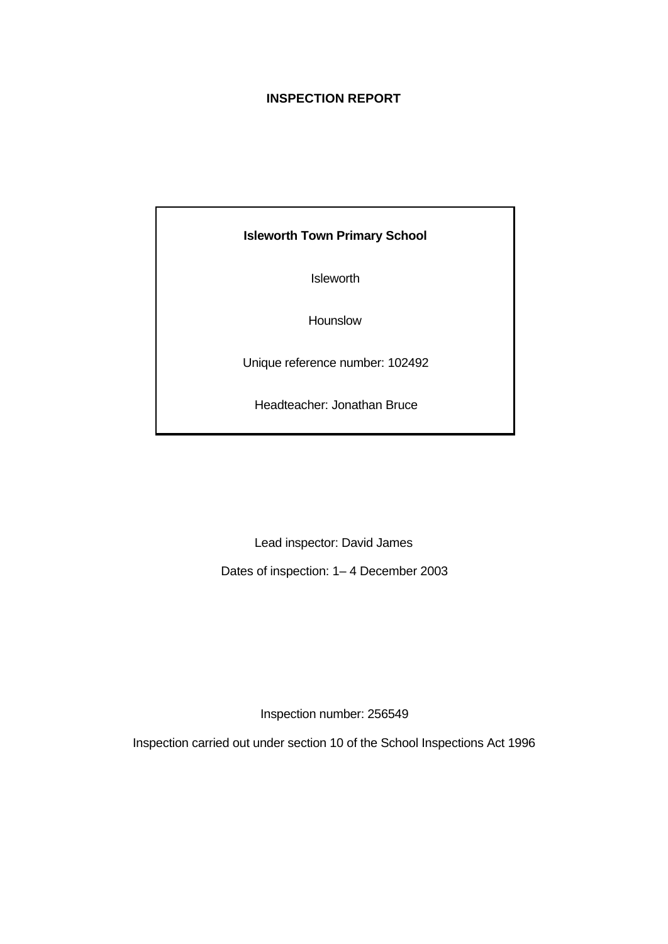# **INSPECTION REPORT**

# **Isleworth Town Primary School**

Isleworth

Hounslow

Unique reference number: 102492

Headteacher: Jonathan Bruce

Lead inspector: David James

Dates of inspection: 1– 4 December 2003

Inspection number: 256549

Inspection carried out under section 10 of the School Inspections Act 1996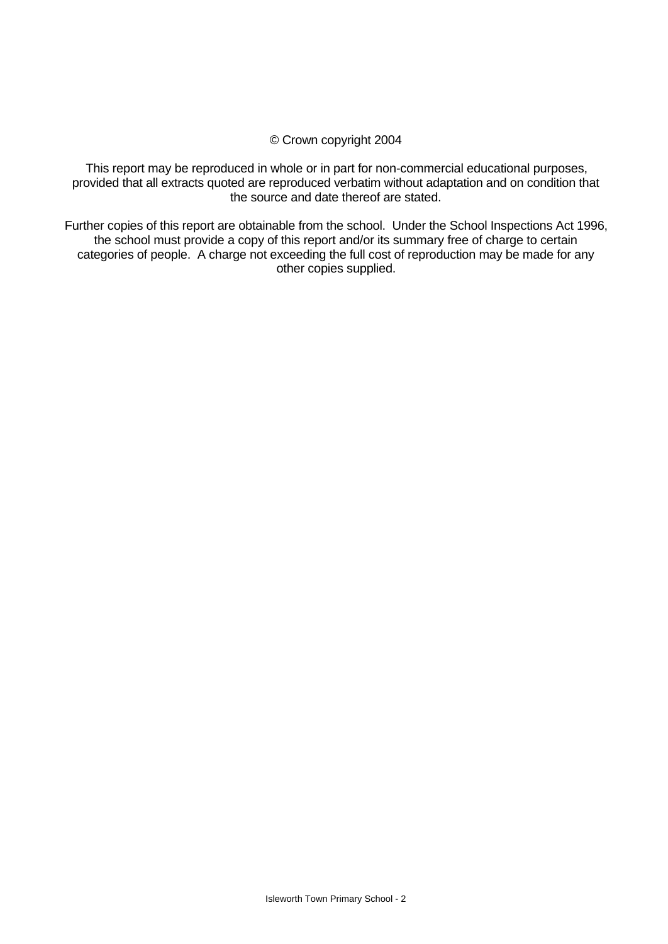#### © Crown copyright 2004

This report may be reproduced in whole or in part for non-commercial educational purposes, provided that all extracts quoted are reproduced verbatim without adaptation and on condition that the source and date thereof are stated.

Further copies of this report are obtainable from the school. Under the School Inspections Act 1996, the school must provide a copy of this report and/or its summary free of charge to certain categories of people. A charge not exceeding the full cost of reproduction may be made for any other copies supplied.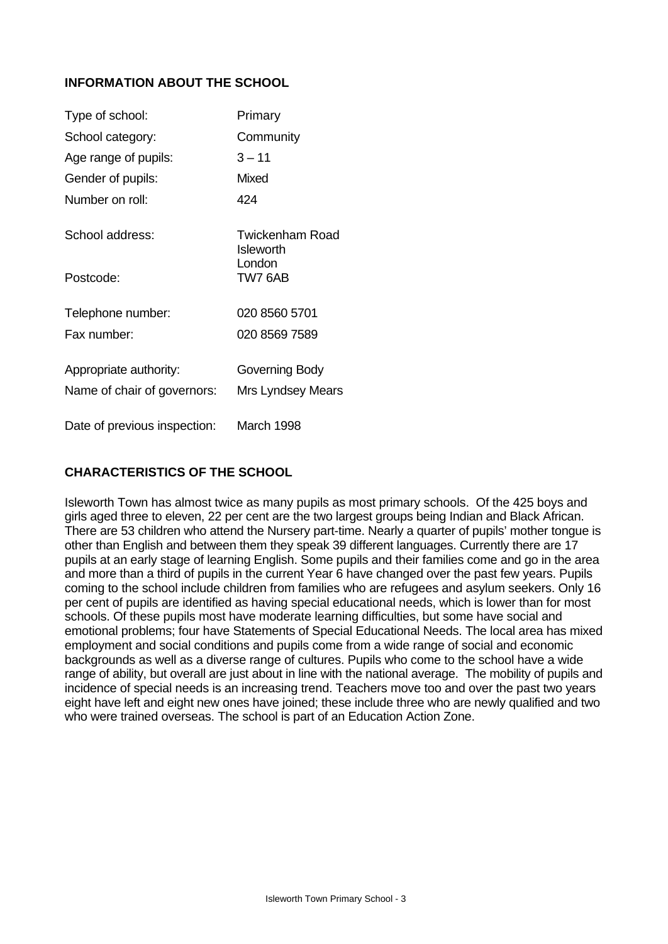# **INFORMATION ABOUT THE SCHOOL**

| Type of school:              | Primary                                    |
|------------------------------|--------------------------------------------|
| School category:             | Community                                  |
| Age range of pupils:         | $3 - 11$                                   |
| Gender of pupils:            | Mixed                                      |
| Number on roll:              | 424                                        |
| School address:              | <b>Twickenham Road</b><br><b>Isleworth</b> |
| Postcode:                    | London<br>TW7 6AB                          |
| Telephone number:            | 020 8560 5701                              |
| Fax number:                  | 020 8569 7589                              |
| Appropriate authority:       | Governing Body                             |
| Name of chair of governors:  | Mrs Lyndsey Mears                          |
| Date of previous inspection: | March 1998                                 |

# **CHARACTERISTICS OF THE SCHOOL**

Isleworth Town has almost twice as many pupils as most primary schools. Of the 425 boys and girls aged three to eleven, 22 per cent are the two largest groups being Indian and Black African. There are 53 children who attend the Nursery part-time. Nearly a quarter of pupils' mother tongue is other than English and between them they speak 39 different languages. Currently there are 17 pupils at an early stage of learning English. Some pupils and their families come and go in the area and more than a third of pupils in the current Year 6 have changed over the past few years. Pupils coming to the school include children from families who are refugees and asylum seekers. Only 16 per cent of pupils are identified as having special educational needs, which is lower than for most schools. Of these pupils most have moderate learning difficulties, but some have social and emotional problems; four have Statements of Special Educational Needs. The local area has mixed employment and social conditions and pupils come from a wide range of social and economic backgrounds as well as a diverse range of cultures. Pupils who come to the school have a wide range of ability, but overall are just about in line with the national average. The mobility of pupils and incidence of special needs is an increasing trend. Teachers move too and over the past two years eight have left and eight new ones have joined; these include three who are newly qualified and two who were trained overseas. The school is part of an Education Action Zone.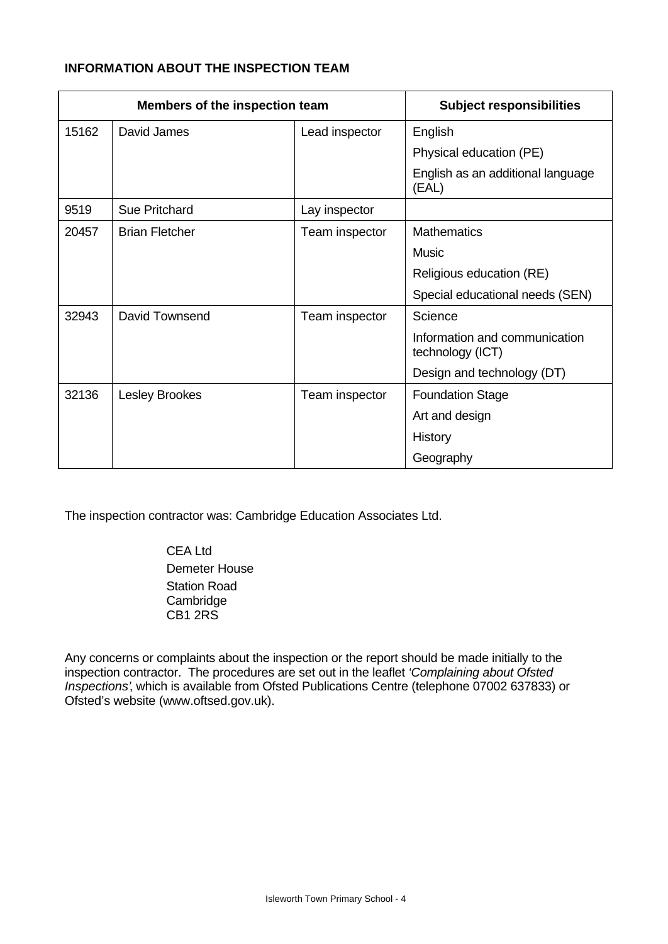# **INFORMATION ABOUT THE INSPECTION TEAM**

| Members of the inspection team |                       |                | <b>Subject responsibilities</b>                   |
|--------------------------------|-----------------------|----------------|---------------------------------------------------|
| 15162                          | David James           | Lead inspector | English                                           |
|                                |                       |                | Physical education (PE)                           |
|                                |                       |                | English as an additional language<br>(EAL)        |
| 9519                           | <b>Sue Pritchard</b>  | Lay inspector  |                                                   |
| 20457                          | <b>Brian Fletcher</b> | Team inspector | <b>Mathematics</b>                                |
|                                |                       |                | <b>Music</b>                                      |
|                                |                       |                | Religious education (RE)                          |
|                                |                       |                | Special educational needs (SEN)                   |
| 32943                          | David Townsend        | Team inspector | Science                                           |
|                                |                       |                | Information and communication<br>technology (ICT) |
|                                |                       |                | Design and technology (DT)                        |
| 32136                          | <b>Lesley Brookes</b> | Team inspector | <b>Foundation Stage</b>                           |
|                                |                       |                | Art and design                                    |
|                                |                       |                | History                                           |
|                                |                       |                | Geography                                         |

The inspection contractor was: Cambridge Education Associates Ltd.

CEA Ltd Demeter House Station Road Cambridge CB1 2RS

Any concerns or complaints about the inspection or the report should be made initially to the inspection contractor. The procedures are set out in the leaflet *'Complaining about Ofsted Inspections'*, which is available from Ofsted Publications Centre (telephone 07002 637833) or Ofsted's website (www.oftsed.gov.uk).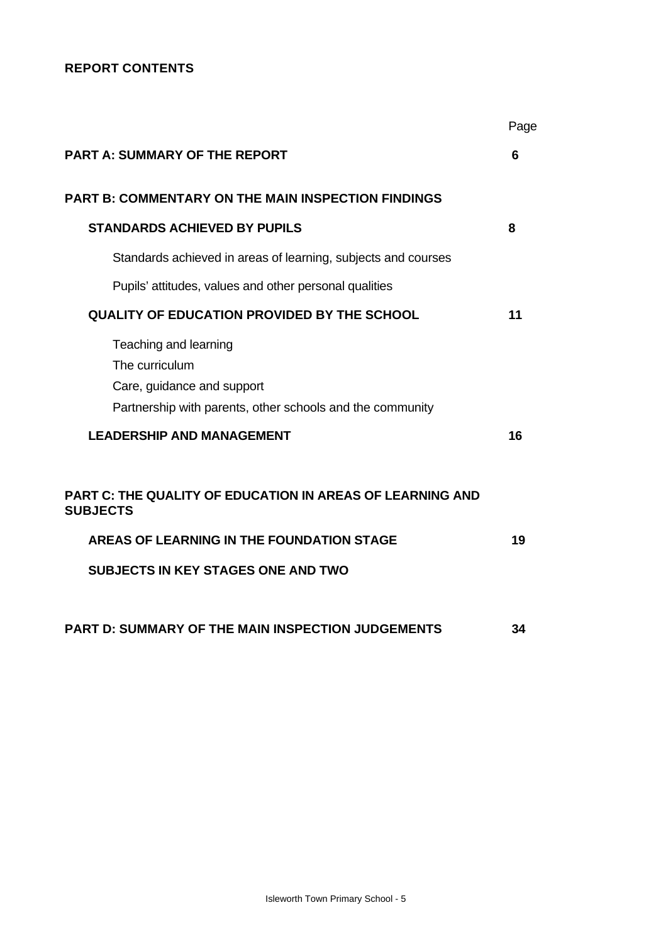# **REPORT CONTENTS**

|                                                                                                                                                                        | Page |
|------------------------------------------------------------------------------------------------------------------------------------------------------------------------|------|
| <b>PART A: SUMMARY OF THE REPORT</b>                                                                                                                                   | 6    |
| <b>PART B: COMMENTARY ON THE MAIN INSPECTION FINDINGS</b>                                                                                                              |      |
| <b>STANDARDS ACHIEVED BY PUPILS</b>                                                                                                                                    | 8    |
| Standards achieved in areas of learning, subjects and courses                                                                                                          |      |
| Pupils' attitudes, values and other personal qualities                                                                                                                 |      |
| <b>QUALITY OF EDUCATION PROVIDED BY THE SCHOOL</b>                                                                                                                     | 11   |
| Teaching and learning<br>The curriculum<br>Care, guidance and support<br>Partnership with parents, other schools and the community                                     |      |
| <b>LEADERSHIP AND MANAGEMENT</b>                                                                                                                                       | 16   |
| PART C: THE QUALITY OF EDUCATION IN AREAS OF LEARNING AND<br><b>SUBJECTS</b><br>AREAS OF LEARNING IN THE FOUNDATION STAGE<br><b>SUBJECTS IN KEY STAGES ONE AND TWO</b> | 19   |
| <b>PART D: SUMMARY OF THE MAIN INSPECTION JUDGEMENTS</b>                                                                                                               | 34   |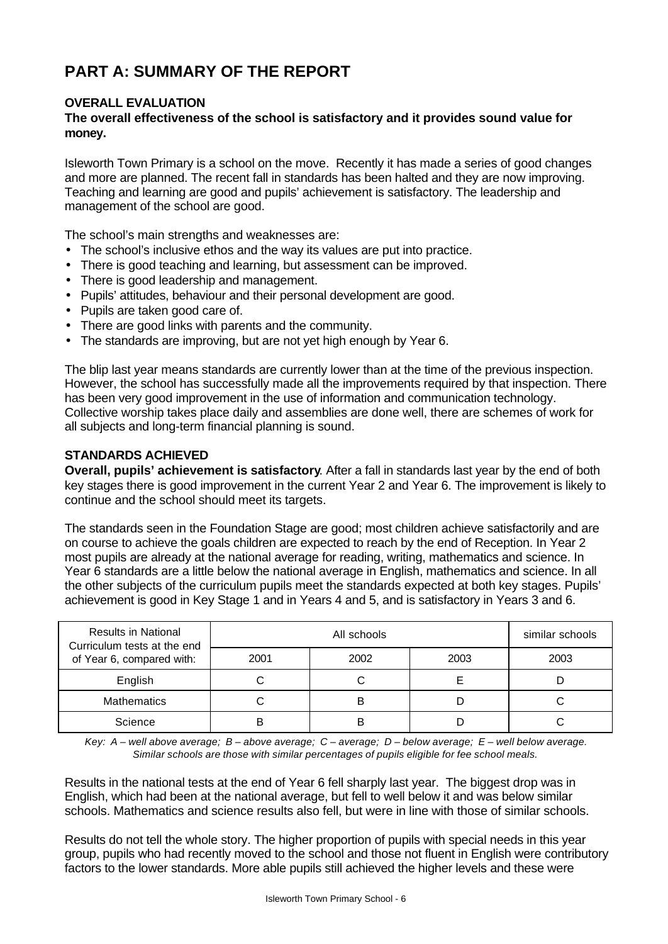# **PART A: SUMMARY OF THE REPORT**

# **OVERALL EVALUATION**

### **The overall effectiveness of the school is satisfactory and it provides sound value for money.**

Isleworth Town Primary is a school on the move. Recently it has made a series of good changes and more are planned. The recent fall in standards has been halted and they are now improving. Teaching and learning are good and pupils' achievement is satisfactory. The leadership and management of the school are good.

The school's main strengths and weaknesses are:

- The school's inclusive ethos and the way its values are put into practice.
- There is good teaching and learning, but assessment can be improved.
- There is good leadership and management.
- Pupils' attitudes, behaviour and their personal development are good.
- Pupils are taken good care of.
- There are good links with parents and the community.
- The standards are improving, but are not yet high enough by Year 6.

The blip last year means standards are currently lower than at the time of the previous inspection. However, the school has successfully made all the improvements required by that inspection. There has been very good improvement in the use of information and communication technology. Collective worship takes place daily and assemblies are done well, there are schemes of work for all subjects and long-term financial planning is sound.

#### **STANDARDS ACHIEVED**

**Overall, pupils' achievement is satisfactory**. After a fall in standards last year by the end of both key stages there is good improvement in the current Year 2 and Year 6. The improvement is likely to continue and the school should meet its targets.

The standards seen in the Foundation Stage are good; most children achieve satisfactorily and are on course to achieve the goals children are expected to reach by the end of Reception. In Year 2 most pupils are already at the national average for reading, writing, mathematics and science. In Year 6 standards are a little below the national average in English, mathematics and science. In all the other subjects of the curriculum pupils meet the standards expected at both key stages. Pupils' achievement is good in Key Stage 1 and in Years 4 and 5, and is satisfactory in Years 3 and 6.

| <b>Results in National</b><br>Curriculum tests at the end |      | similar schools |      |      |
|-----------------------------------------------------------|------|-----------------|------|------|
| of Year 6, compared with:                                 | 2001 | 2002            | 2003 | 2003 |
| English                                                   |      |                 |      |      |
| <b>Mathematics</b>                                        |      |                 |      |      |
| Science                                                   |      |                 |      |      |

*Key: A – well above average; B – above average; C – average; D – below average; E – well below average. Similar schools are those with similar percentages of pupils eligible for fee school meals.*

Results in the national tests at the end of Year 6 fell sharply last year. The biggest drop was in English, which had been at the national average, but fell to well below it and was below similar schools. Mathematics and science results also fell, but were in line with those of similar schools.

Results do not tell the whole story. The higher proportion of pupils with special needs in this year group, pupils who had recently moved to the school and those not fluent in English were contributory factors to the lower standards. More able pupils still achieved the higher levels and these were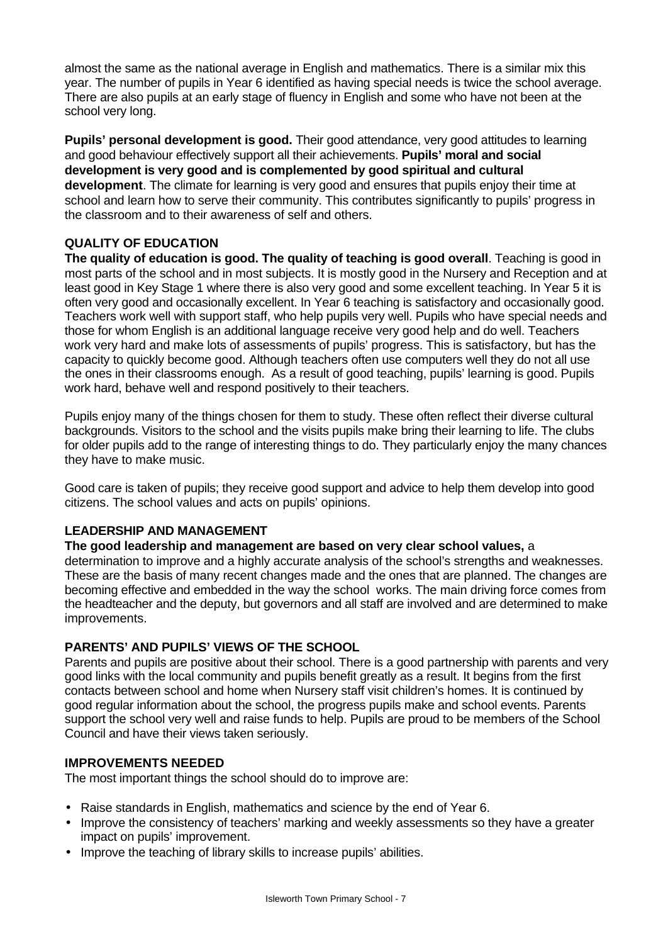almost the same as the national average in English and mathematics. There is a similar mix this year. The number of pupils in Year 6 identified as having special needs is twice the school average. There are also pupils at an early stage of fluency in English and some who have not been at the school very long.

Pupils' personal development is good. Their good attendance, very good attitudes to learning and good behaviour effectively support all their achievements. **Pupils' moral and social development is very good and is complemented by good spiritual and cultural development**. The climate for learning is very good and ensures that pupils enjoy their time at school and learn how to serve their community. This contributes significantly to pupils' progress in the classroom and to their awareness of self and others.

# **QUALITY OF EDUCATION**

**The quality of education is good. The quality of teaching is good overall**. Teaching is good in most parts of the school and in most subjects. It is mostly good in the Nursery and Reception and at least good in Key Stage 1 where there is also very good and some excellent teaching. In Year 5 it is often very good and occasionally excellent. In Year 6 teaching is satisfactory and occasionally good. Teachers work well with support staff, who help pupils very well. Pupils who have special needs and those for whom English is an additional language receive very good help and do well. Teachers work very hard and make lots of assessments of pupils' progress. This is satisfactory, but has the capacity to quickly become good. Although teachers often use computers well they do not all use the ones in their classrooms enough. As a result of good teaching, pupils' learning is good. Pupils work hard, behave well and respond positively to their teachers.

Pupils enjoy many of the things chosen for them to study. These often reflect their diverse cultural backgrounds. Visitors to the school and the visits pupils make bring their learning to life. The clubs for older pupils add to the range of interesting things to do. They particularly enjoy the many chances they have to make music.

Good care is taken of pupils; they receive good support and advice to help them develop into good citizens. The school values and acts on pupils' opinions.

# **LEADERSHIP AND MANAGEMENT**

#### **The good leadership and management are based on very clear school values,** a

determination to improve and a highly accurate analysis of the school's strengths and weaknesses. These are the basis of many recent changes made and the ones that are planned. The changes are becoming effective and embedded in the way the school works. The main driving force comes from the headteacher and the deputy, but governors and all staff are involved and are determined to make improvements.

# **PARENTS' AND PUPILS' VIEWS OF THE SCHOOL**

Parents and pupils are positive about their school. There is a good partnership with parents and very good links with the local community and pupils benefit greatly as a result. It begins from the first contacts between school and home when Nursery staff visit children's homes. It is continued by good regular information about the school, the progress pupils make and school events. Parents support the school very well and raise funds to help. Pupils are proud to be members of the School Council and have their views taken seriously.

#### **IMPROVEMENTS NEEDED**

The most important things the school should do to improve are:

- Raise standards in English, mathematics and science by the end of Year 6.
- Improve the consistency of teachers' marking and weekly assessments so they have a greater impact on pupils' improvement.
- Improve the teaching of library skills to increase pupils' abilities.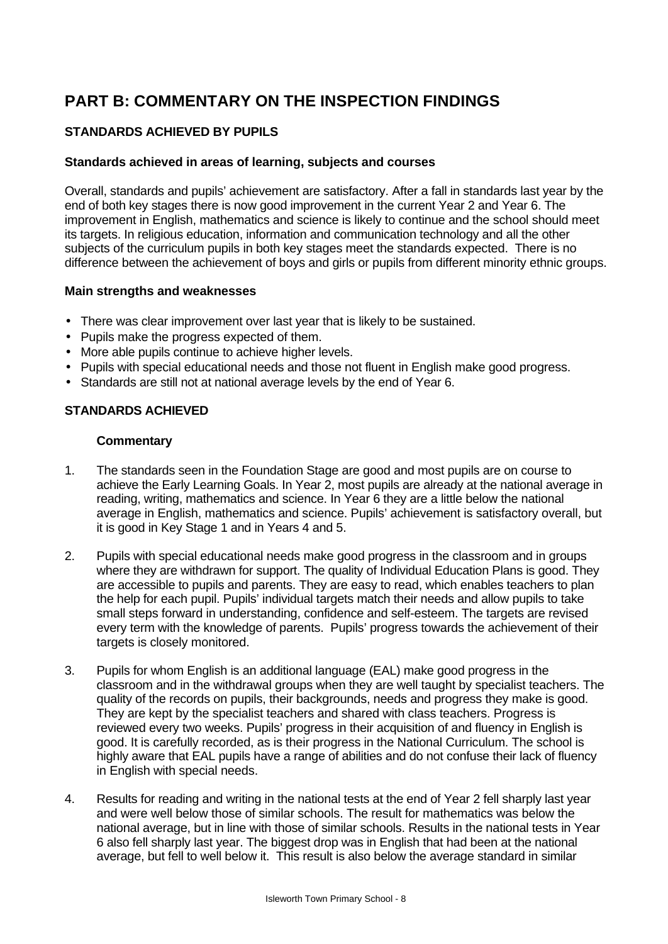# **PART B: COMMENTARY ON THE INSPECTION FINDINGS**

# **STANDARDS ACHIEVED BY PUPILS**

#### **Standards achieved in areas of learning, subjects and courses**

Overall, standards and pupils' achievement are satisfactory. After a fall in standards last year by the end of both key stages there is now good improvement in the current Year 2 and Year 6. The improvement in English, mathematics and science is likely to continue and the school should meet its targets. In religious education, information and communication technology and all the other subjects of the curriculum pupils in both key stages meet the standards expected. There is no difference between the achievement of boys and girls or pupils from different minority ethnic groups.

#### **Main strengths and weaknesses**

- There was clear improvement over last year that is likely to be sustained.
- Pupils make the progress expected of them.
- More able pupils continue to achieve higher levels.
- Pupils with special educational needs and those not fluent in English make good progress.
- Standards are still not at national average levels by the end of Year 6.

#### **STANDARDS ACHIEVED**

- 1. The standards seen in the Foundation Stage are good and most pupils are on course to achieve the Early Learning Goals. In Year 2, most pupils are already at the national average in reading, writing, mathematics and science. In Year 6 they are a little below the national average in English, mathematics and science. Pupils' achievement is satisfactory overall, but it is good in Key Stage 1 and in Years 4 and 5.
- 2. Pupils with special educational needs make good progress in the classroom and in groups where they are withdrawn for support. The quality of Individual Education Plans is good. They are accessible to pupils and parents. They are easy to read, which enables teachers to plan the help for each pupil. Pupils' individual targets match their needs and allow pupils to take small steps forward in understanding, confidence and self-esteem. The targets are revised every term with the knowledge of parents. Pupils' progress towards the achievement of their targets is closely monitored.
- 3. Pupils for whom English is an additional language (EAL) make good progress in the classroom and in the withdrawal groups when they are well taught by specialist teachers. The quality of the records on pupils, their backgrounds, needs and progress they make is good. They are kept by the specialist teachers and shared with class teachers. Progress is reviewed every two weeks. Pupils' progress in their acquisition of and fluency in English is good. It is carefully recorded, as is their progress in the National Curriculum. The school is highly aware that EAL pupils have a range of abilities and do not confuse their lack of fluency in English with special needs.
- 4. Results for reading and writing in the national tests at the end of Year 2 fell sharply last year and were well below those of similar schools. The result for mathematics was below the national average, but in line with those of similar schools. Results in the national tests in Year 6 also fell sharply last year. The biggest drop was in English that had been at the national average, but fell to well below it. This result is also below the average standard in similar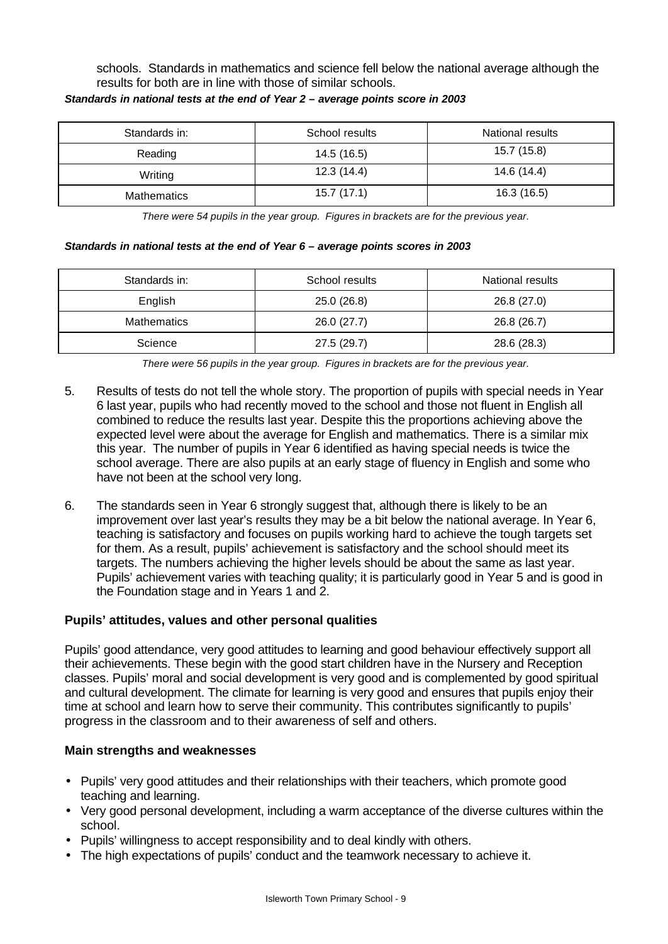schools. Standards in mathematics and science fell below the national average although the results for both are in line with those of similar schools.

| Standards in: | School results | National results |
|---------------|----------------|------------------|
| Reading       | 14.5 (16.5)    | 15.7 (15.8)      |
| Writing       | 12.3(14.4)     | 14.6 (14.4)      |
| Mathematics   | 15.7(17.1)     | 16.3(16.5)       |

#### *Standards in national tests at the end of Year 2 – average points score in 2003*

*There were 54 pupils in the year group. Figures in brackets are for the previous year.*

#### *Standards in national tests at the end of Year 6 – average points scores in 2003*

| Standards in:      | School results | National results |
|--------------------|----------------|------------------|
| English            | 25.0(26.8)     | 26.8 (27.0)      |
| <b>Mathematics</b> | 26.0 (27.7)    | 26.8 (26.7)      |
| Science            | 27.5(29.7)     | 28.6 (28.3)      |

*There were 56 pupils in the year group. Figures in brackets are for the previous year.*

- 5. Results of tests do not tell the whole story. The proportion of pupils with special needs in Year 6 last year, pupils who had recently moved to the school and those not fluent in English all combined to reduce the results last year. Despite this the proportions achieving above the expected level were about the average for English and mathematics. There is a similar mix this year. The number of pupils in Year 6 identified as having special needs is twice the school average. There are also pupils at an early stage of fluency in English and some who have not been at the school very long.
- 6. The standards seen in Year 6 strongly suggest that, although there is likely to be an improvement over last year's results they may be a bit below the national average. In Year 6, teaching is satisfactory and focuses on pupils working hard to achieve the tough targets set for them. As a result, pupils' achievement is satisfactory and the school should meet its targets. The numbers achieving the higher levels should be about the same as last year. Pupils' achievement varies with teaching quality; it is particularly good in Year 5 and is good in the Foundation stage and in Years 1 and 2.

#### **Pupils' attitudes, values and other personal qualities**

Pupils' good attendance, very good attitudes to learning and good behaviour effectively support all their achievements. These begin with the good start children have in the Nursery and Reception classes. Pupils' moral and social development is very good and is complemented by good spiritual and cultural development. The climate for learning is very good and ensures that pupils enjoy their time at school and learn how to serve their community. This contributes significantly to pupils' progress in the classroom and to their awareness of self and others.

- Pupils' very good attitudes and their relationships with their teachers, which promote good teaching and learning.
- Very good personal development, including a warm acceptance of the diverse cultures within the school.
- Pupils' willingness to accept responsibility and to deal kindly with others.
- The high expectations of pupils' conduct and the teamwork necessary to achieve it.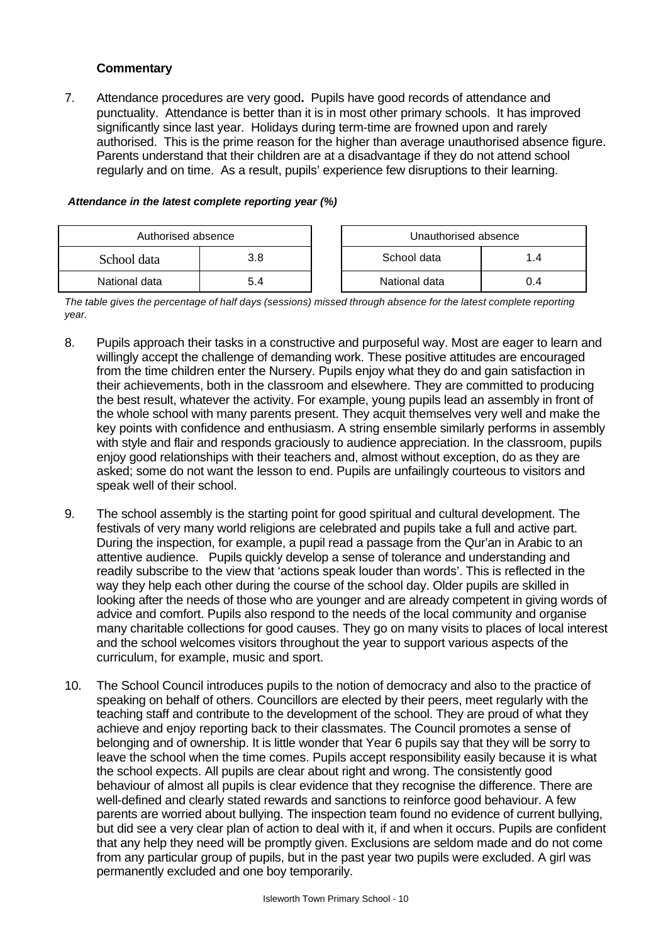7. Attendance procedures are very good**.** Pupils have good records of attendance and punctuality. Attendance is better than it is in most other primary schools. It has improved significantly since last year. Holidays during term-time are frowned upon and rarely authorised. This is the prime reason for the higher than average unauthorised absence figure. Parents understand that their children are at a disadvantage if they do not attend school regularly and on time. As a result, pupils' experience few disruptions to their learning.

| Authorised absence |     |  | Unauthorised absence |     |
|--------------------|-----|--|----------------------|-----|
| School data        | 3.8 |  | School data          | 1.4 |
| National data      |     |  | National data        | 0.4 |

#### *Attendance in the latest complete reporting year (%)*

*The table gives the percentage of half days (sessions) missed through absence for the latest complete reporting year.*

- 8. Pupils approach their tasks in a constructive and purposeful way. Most are eager to learn and willingly accept the challenge of demanding work. These positive attitudes are encouraged from the time children enter the Nursery. Pupils enjoy what they do and gain satisfaction in their achievements, both in the classroom and elsewhere. They are committed to producing the best result, whatever the activity. For example, young pupils lead an assembly in front of the whole school with many parents present. They acquit themselves very well and make the key points with confidence and enthusiasm. A string ensemble similarly performs in assembly with style and flair and responds graciously to audience appreciation. In the classroom, pupils enjoy good relationships with their teachers and, almost without exception, do as they are asked; some do not want the lesson to end. Pupils are unfailingly courteous to visitors and speak well of their school.
- 9. The school assembly is the starting point for good spiritual and cultural development. The festivals of very many world religions are celebrated and pupils take a full and active part. During the inspection, for example, a pupil read a passage from the Qur'an in Arabic to an attentive audience. Pupils quickly develop a sense of tolerance and understanding and readily subscribe to the view that 'actions speak louder than words'. This is reflected in the way they help each other during the course of the school day. Older pupils are skilled in looking after the needs of those who are younger and are already competent in giving words of advice and comfort. Pupils also respond to the needs of the local community and organise many charitable collections for good causes. They go on many visits to places of local interest and the school welcomes visitors throughout the year to support various aspects of the curriculum, for example, music and sport.
- 10. The School Council introduces pupils to the notion of democracy and also to the practice of speaking on behalf of others. Councillors are elected by their peers, meet regularly with the teaching staff and contribute to the development of the school. They are proud of what they achieve and enjoy reporting back to their classmates. The Council promotes a sense of belonging and of ownership. It is little wonder that Year 6 pupils say that they will be sorry to leave the school when the time comes. Pupils accept responsibility easily because it is what the school expects. All pupils are clear about right and wrong. The consistently good behaviour of almost all pupils is clear evidence that they recognise the difference. There are well-defined and clearly stated rewards and sanctions to reinforce good behaviour. A few parents are worried about bullying. The inspection team found no evidence of current bullying, but did see a very clear plan of action to deal with it, if and when it occurs. Pupils are confident that any help they need will be promptly given. Exclusions are seldom made and do not come from any particular group of pupils, but in the past year two pupils were excluded. A girl was permanently excluded and one boy temporarily.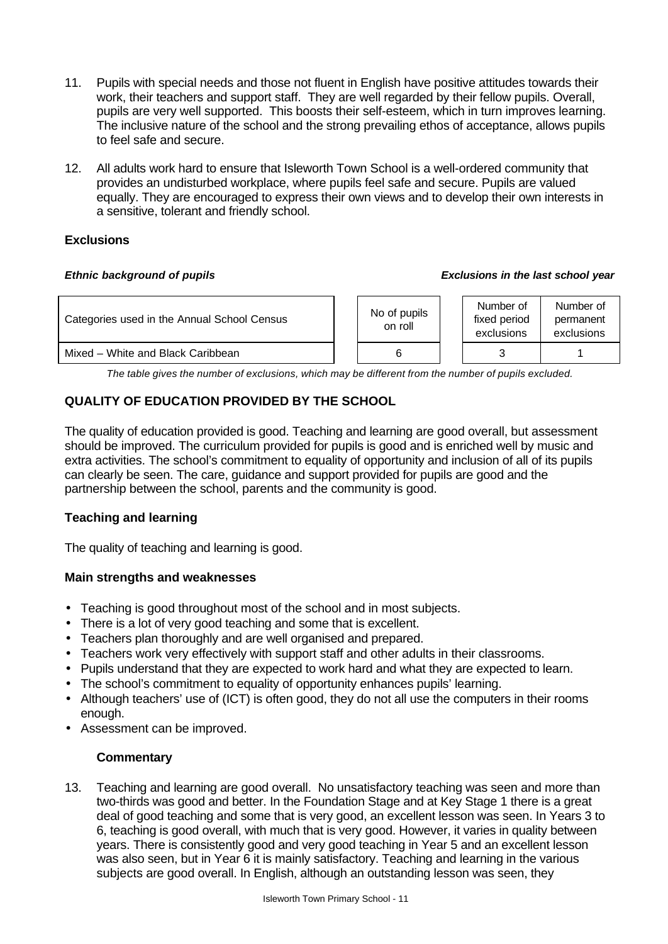- 11. Pupils with special needs and those not fluent in English have positive attitudes towards their work, their teachers and support staff. They are well regarded by their fellow pupils. Overall, pupils are very well supported. This boosts their self-esteem, which in turn improves learning. The inclusive nature of the school and the strong prevailing ethos of acceptance, allows pupils to feel safe and secure.
- 12. All adults work hard to ensure that Isleworth Town School is a well-ordered community that provides an undisturbed workplace, where pupils feel safe and secure. Pupils are valued equally. They are encouraged to express their own views and to develop their own interests in a sensitive, tolerant and friendly school.

# **Exclusions**

#### *Ethnic background of pupils Exclusions in the last school year*

| Categories used in the Annual School Census | No of pupils<br>on roll | Number of<br>fixed period<br>exclusions | Number of<br>permanent<br>exclusions |
|---------------------------------------------|-------------------------|-----------------------------------------|--------------------------------------|
| Mixed – White and Black Caribbean           |                         |                                         |                                      |

*The table gives the number of exclusions, which may be different from the number of pupils excluded.*

# **QUALITY OF EDUCATION PROVIDED BY THE SCHOOL**

The quality of education provided is good. Teaching and learning are good overall, but assessment should be improved. The curriculum provided for pupils is good and is enriched well by music and extra activities. The school's commitment to equality of opportunity and inclusion of all of its pupils can clearly be seen. The care, guidance and support provided for pupils are good and the partnership between the school, parents and the community is good.

# **Teaching and learning**

The quality of teaching and learning is good.

# **Main strengths and weaknesses**

- Teaching is good throughout most of the school and in most subjects.
- There is a lot of very good teaching and some that is excellent.
- Teachers plan thoroughly and are well organised and prepared.
- Teachers work very effectively with support staff and other adults in their classrooms.
- Pupils understand that they are expected to work hard and what they are expected to learn.
- The school's commitment to equality of opportunity enhances pupils' learning.
- Although teachers' use of (ICT) is often good, they do not all use the computers in their rooms enough.
- Assessment can be improved.

# **Commentary**

13. Teaching and learning are good overall. No unsatisfactory teaching was seen and more than two-thirds was good and better. In the Foundation Stage and at Key Stage 1 there is a great deal of good teaching and some that is very good, an excellent lesson was seen. In Years 3 to 6, teaching is good overall, with much that is very good. However, it varies in quality between years. There is consistently good and very good teaching in Year 5 and an excellent lesson was also seen, but in Year 6 it is mainly satisfactory. Teaching and learning in the various subjects are good overall. In English, although an outstanding lesson was seen, they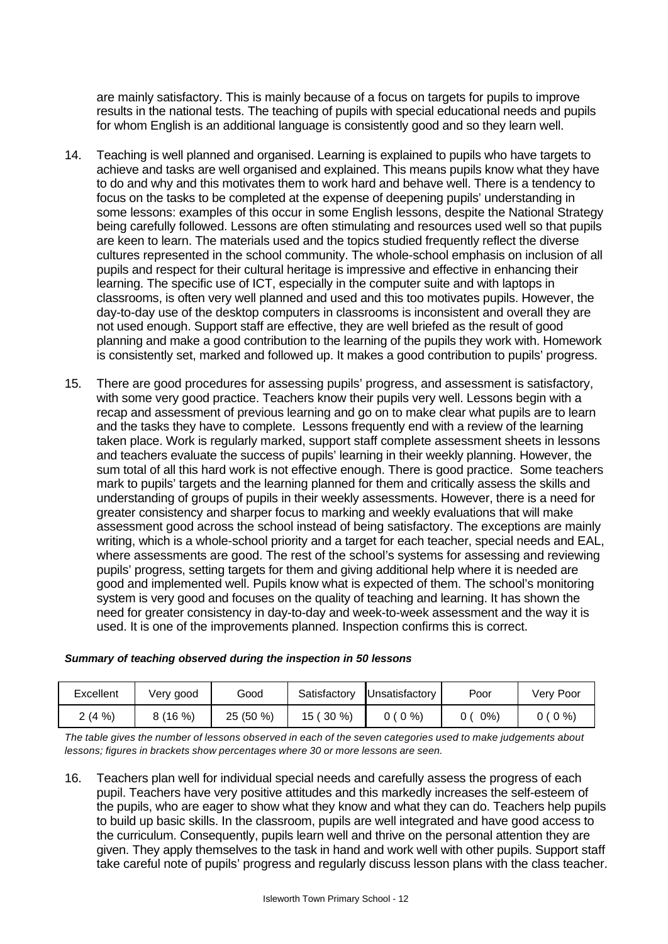are mainly satisfactory. This is mainly because of a focus on targets for pupils to improve results in the national tests. The teaching of pupils with special educational needs and pupils for whom English is an additional language is consistently good and so they learn well.

- 14. Teaching is well planned and organised. Learning is explained to pupils who have targets to achieve and tasks are well organised and explained. This means pupils know what they have to do and why and this motivates them to work hard and behave well. There is a tendency to focus on the tasks to be completed at the expense of deepening pupils' understanding in some lessons: examples of this occur in some English lessons, despite the National Strategy being carefully followed. Lessons are often stimulating and resources used well so that pupils are keen to learn. The materials used and the topics studied frequently reflect the diverse cultures represented in the school community. The whole-school emphasis on inclusion of all pupils and respect for their cultural heritage is impressive and effective in enhancing their learning. The specific use of ICT, especially in the computer suite and with laptops in classrooms, is often very well planned and used and this too motivates pupils. However, the day-to-day use of the desktop computers in classrooms is inconsistent and overall they are not used enough. Support staff are effective, they are well briefed as the result of good planning and make a good contribution to the learning of the pupils they work with. Homework is consistently set, marked and followed up. It makes a good contribution to pupils' progress.
- 15. There are good procedures for assessing pupils' progress, and assessment is satisfactory, with some very good practice. Teachers know their pupils very well. Lessons begin with a recap and assessment of previous learning and go on to make clear what pupils are to learn and the tasks they have to complete. Lessons frequently end with a review of the learning taken place. Work is regularly marked, support staff complete assessment sheets in lessons and teachers evaluate the success of pupils' learning in their weekly planning. However, the sum total of all this hard work is not effective enough. There is good practice. Some teachers mark to pupils' targets and the learning planned for them and critically assess the skills and understanding of groups of pupils in their weekly assessments. However, there is a need for greater consistency and sharper focus to marking and weekly evaluations that will make assessment good across the school instead of being satisfactory. The exceptions are mainly writing, which is a whole-school priority and a target for each teacher, special needs and EAL, where assessments are good. The rest of the school's systems for assessing and reviewing pupils' progress, setting targets for them and giving additional help where it is needed are good and implemented well. Pupils know what is expected of them. The school's monitoring system is very good and focuses on the quality of teaching and learning. It has shown the need for greater consistency in day-to-day and week-to-week assessment and the way it is used. It is one of the improvements planned. Inspection confirms this is correct.

| Excellent | Very good | Good      | Satisfactory     | <b>IUnsatisfactory</b> | Poor | Verv Poor |
|-----------|-----------|-----------|------------------|------------------------|------|-----------|
| 2(4%      | 8(16%)    | 25 (50 %) | $(30\%)$<br>15 ( | $0(0\%)$               | 0%)  | $(0\% )$  |

#### *Summary of teaching observed during the inspection in 50 lessons*

*The table gives the number of lessons observed in each of the seven categories used to make judgements about lessons; figures in brackets show percentages where 30 or more lessons are seen.*

16. Teachers plan well for individual special needs and carefully assess the progress of each pupil. Teachers have very positive attitudes and this markedly increases the self-esteem of the pupils, who are eager to show what they know and what they can do. Teachers help pupils to build up basic skills. In the classroom, pupils are well integrated and have good access to the curriculum. Consequently, pupils learn well and thrive on the personal attention they are given. They apply themselves to the task in hand and work well with other pupils. Support staff take careful note of pupils' progress and regularly discuss lesson plans with the class teacher.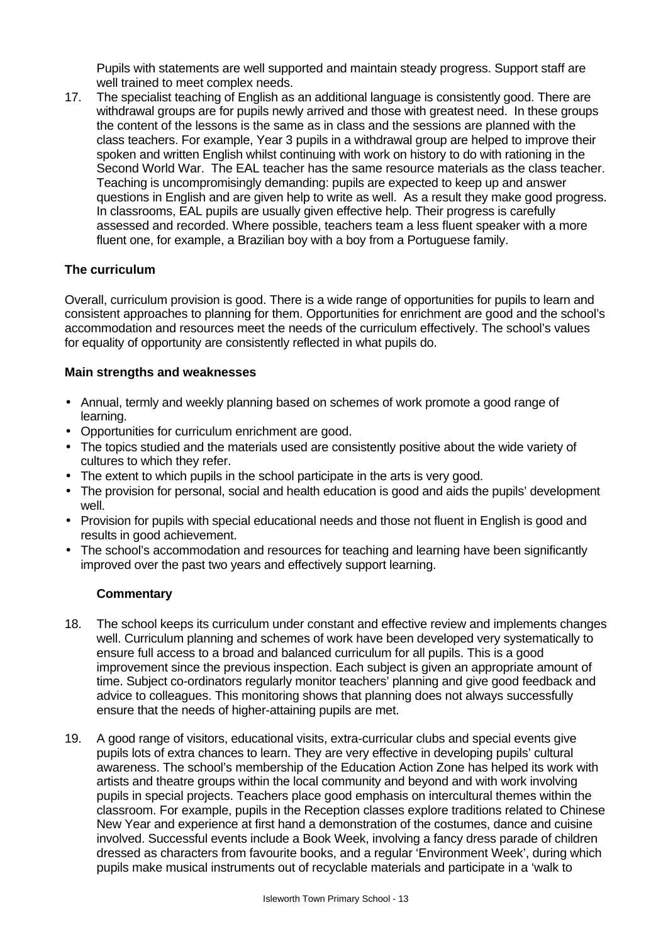Pupils with statements are well supported and maintain steady progress. Support staff are well trained to meet complex needs.

17. The specialist teaching of English as an additional language is consistently good. There are withdrawal groups are for pupils newly arrived and those with greatest need. In these groups the content of the lessons is the same as in class and the sessions are planned with the class teachers. For example, Year 3 pupils in a withdrawal group are helped to improve their spoken and written English whilst continuing with work on history to do with rationing in the Second World War. The EAL teacher has the same resource materials as the class teacher. Teaching is uncompromisingly demanding: pupils are expected to keep up and answer questions in English and are given help to write as well. As a result they make good progress. In classrooms, EAL pupils are usually given effective help. Their progress is carefully assessed and recorded. Where possible, teachers team a less fluent speaker with a more fluent one, for example, a Brazilian boy with a boy from a Portuguese family.

# **The curriculum**

Overall, curriculum provision is good. There is a wide range of opportunities for pupils to learn and consistent approaches to planning for them. Opportunities for enrichment are good and the school's accommodation and resources meet the needs of the curriculum effectively. The school's values for equality of opportunity are consistently reflected in what pupils do.

#### **Main strengths and weaknesses**

- Annual, termly and weekly planning based on schemes of work promote a good range of learning.
- Opportunities for curriculum enrichment are good.
- The topics studied and the materials used are consistently positive about the wide variety of cultures to which they refer.
- The extent to which pupils in the school participate in the arts is very good.
- The provision for personal, social and health education is good and aids the pupils' development well.
- Provision for pupils with special educational needs and those not fluent in English is good and results in good achievement.
- The school's accommodation and resources for teaching and learning have been significantly improved over the past two years and effectively support learning.

- 18. The school keeps its curriculum under constant and effective review and implements changes well. Curriculum planning and schemes of work have been developed very systematically to ensure full access to a broad and balanced curriculum for all pupils. This is a good improvement since the previous inspection. Each subject is given an appropriate amount of time. Subject co-ordinators regularly monitor teachers' planning and give good feedback and advice to colleagues. This monitoring shows that planning does not always successfully ensure that the needs of higher-attaining pupils are met.
- 19. A good range of visitors, educational visits, extra-curricular clubs and special events give pupils lots of extra chances to learn. They are very effective in developing pupils' cultural awareness. The school's membership of the Education Action Zone has helped its work with artists and theatre groups within the local community and beyond and with work involving pupils in special projects. Teachers place good emphasis on intercultural themes within the classroom. For example, pupils in the Reception classes explore traditions related to Chinese New Year and experience at first hand a demonstration of the costumes, dance and cuisine involved. Successful events include a Book Week, involving a fancy dress parade of children dressed as characters from favourite books, and a regular 'Environment Week', during which pupils make musical instruments out of recyclable materials and participate in a 'walk to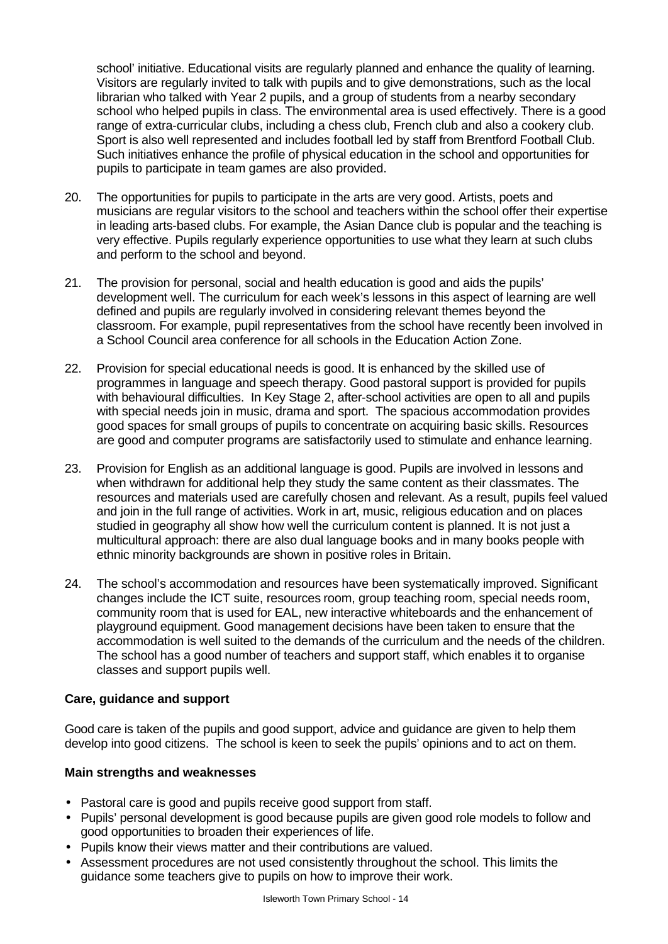school' initiative. Educational visits are regularly planned and enhance the quality of learning. Visitors are regularly invited to talk with pupils and to give demonstrations, such as the local librarian who talked with Year 2 pupils, and a group of students from a nearby secondary school who helped pupils in class. The environmental area is used effectively. There is a good range of extra-curricular clubs, including a chess club, French club and also a cookery club. Sport is also well represented and includes football led by staff from Brentford Football Club. Such initiatives enhance the profile of physical education in the school and opportunities for pupils to participate in team games are also provided.

- 20. The opportunities for pupils to participate in the arts are very good. Artists, poets and musicians are regular visitors to the school and teachers within the school offer their expertise in leading arts-based clubs. For example, the Asian Dance club is popular and the teaching is very effective. Pupils regularly experience opportunities to use what they learn at such clubs and perform to the school and beyond.
- 21. The provision for personal, social and health education is good and aids the pupils' development well. The curriculum for each week's lessons in this aspect of learning are well defined and pupils are regularly involved in considering relevant themes beyond the classroom. For example, pupil representatives from the school have recently been involved in a School Council area conference for all schools in the Education Action Zone.
- 22. Provision for special educational needs is good. It is enhanced by the skilled use of programmes in language and speech therapy. Good pastoral support is provided for pupils with behavioural difficulties. In Key Stage 2, after-school activities are open to all and pupils with special needs join in music, drama and sport. The spacious accommodation provides good spaces for small groups of pupils to concentrate on acquiring basic skills. Resources are good and computer programs are satisfactorily used to stimulate and enhance learning.
- 23. Provision for English as an additional language is good. Pupils are involved in lessons and when withdrawn for additional help they study the same content as their classmates. The resources and materials used are carefully chosen and relevant. As a result, pupils feel valued and join in the full range of activities. Work in art, music, religious education and on places studied in geography all show how well the curriculum content is planned. It is not just a multicultural approach: there are also dual language books and in many books people with ethnic minority backgrounds are shown in positive roles in Britain.
- 24. The school's accommodation and resources have been systematically improved. Significant changes include the ICT suite, resources room, group teaching room, special needs room, community room that is used for EAL, new interactive whiteboards and the enhancement of playground equipment. Good management decisions have been taken to ensure that the accommodation is well suited to the demands of the curriculum and the needs of the children. The school has a good number of teachers and support staff, which enables it to organise classes and support pupils well.

#### **Care, guidance and support**

Good care is taken of the pupils and good support, advice and guidance are given to help them develop into good citizens. The school is keen to seek the pupils' opinions and to act on them.

- Pastoral care is good and pupils receive good support from staff.
- Pupils' personal development is good because pupils are given good role models to follow and good opportunities to broaden their experiences of life.
- Pupils know their views matter and their contributions are valued.
- Assessment procedures are not used consistently throughout the school. This limits the guidance some teachers give to pupils on how to improve their work.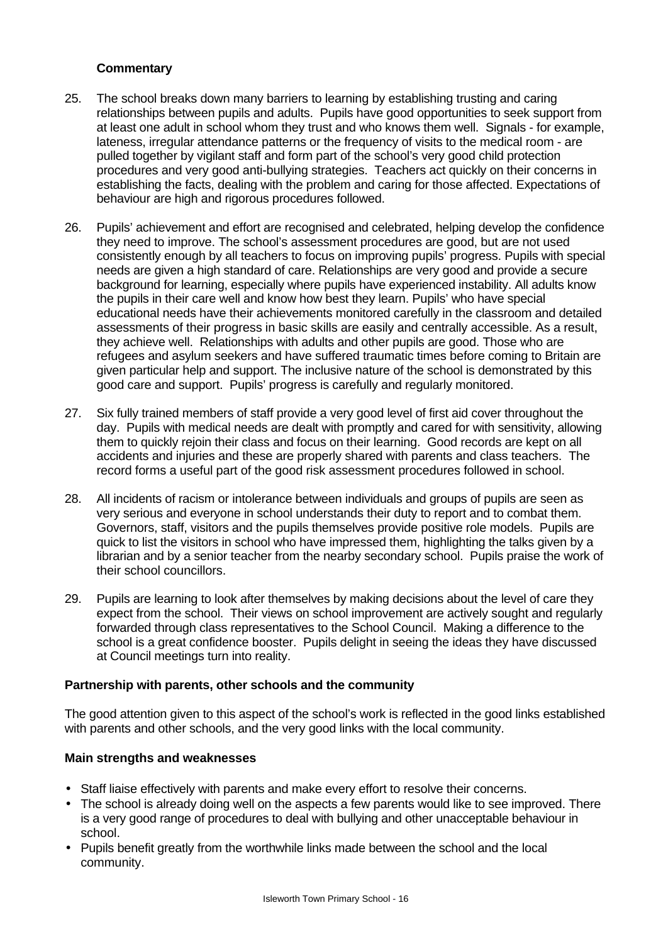- 25. The school breaks down many barriers to learning by establishing trusting and caring relationships between pupils and adults. Pupils have good opportunities to seek support from at least one adult in school whom they trust and who knows them well. Signals - for example, lateness, irregular attendance patterns or the frequency of visits to the medical room - are pulled together by vigilant staff and form part of the school's very good child protection procedures and very good anti-bullying strategies. Teachers act quickly on their concerns in establishing the facts, dealing with the problem and caring for those affected. Expectations of behaviour are high and rigorous procedures followed.
- 26. Pupils' achievement and effort are recognised and celebrated, helping develop the confidence they need to improve. The school's assessment procedures are good, but are not used consistently enough by all teachers to focus on improving pupils' progress. Pupils with special needs are given a high standard of care. Relationships are very good and provide a secure background for learning, especially where pupils have experienced instability. All adults know the pupils in their care well and know how best they learn. Pupils' who have special educational needs have their achievements monitored carefully in the classroom and detailed assessments of their progress in basic skills are easily and centrally accessible. As a result, they achieve well. Relationships with adults and other pupils are good. Those who are refugees and asylum seekers and have suffered traumatic times before coming to Britain are given particular help and support. The inclusive nature of the school is demonstrated by this good care and support. Pupils' progress is carefully and regularly monitored.
- 27. Six fully trained members of staff provide a very good level of first aid cover throughout the day. Pupils with medical needs are dealt with promptly and cared for with sensitivity, allowing them to quickly rejoin their class and focus on their learning. Good records are kept on all accidents and injuries and these are properly shared with parents and class teachers. The record forms a useful part of the good risk assessment procedures followed in school.
- 28. All incidents of racism or intolerance between individuals and groups of pupils are seen as very serious and everyone in school understands their duty to report and to combat them. Governors, staff, visitors and the pupils themselves provide positive role models. Pupils are quick to list the visitors in school who have impressed them, highlighting the talks given by a librarian and by a senior teacher from the nearby secondary school. Pupils praise the work of their school councillors.
- 29. Pupils are learning to look after themselves by making decisions about the level of care they expect from the school. Their views on school improvement are actively sought and regularly forwarded through class representatives to the School Council. Making a difference to the school is a great confidence booster. Pupils delight in seeing the ideas they have discussed at Council meetings turn into reality.

#### **Partnership with parents, other schools and the community**

The good attention given to this aspect of the school's work is reflected in the good links established with parents and other schools, and the very good links with the local community.

- Staff liaise effectively with parents and make every effort to resolve their concerns.
- The school is already doing well on the aspects a few parents would like to see improved. There is a very good range of procedures to deal with bullying and other unacceptable behaviour in school.
- Pupils benefit greatly from the worthwhile links made between the school and the local community.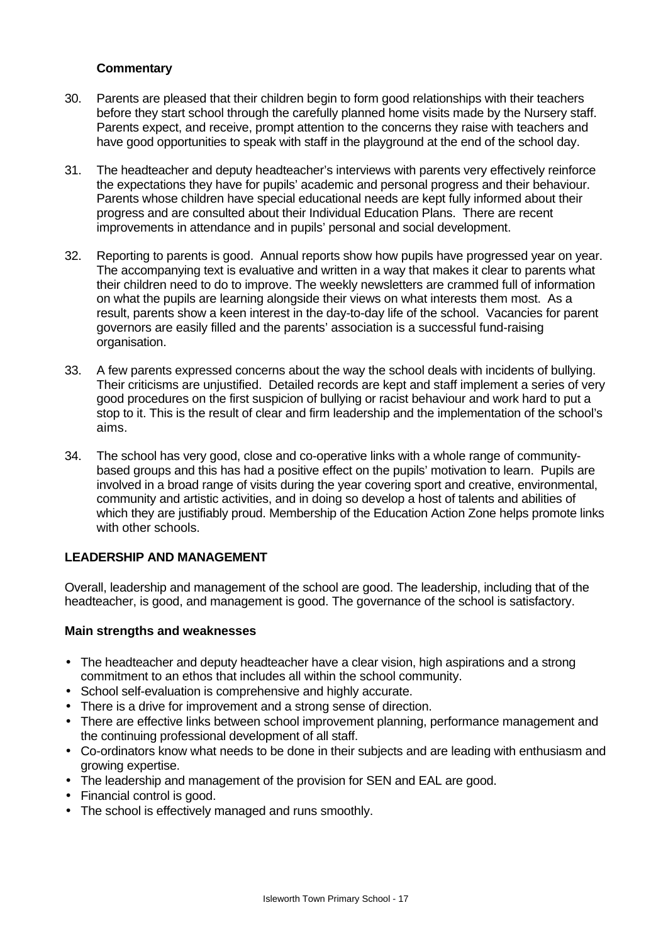- 30. Parents are pleased that their children begin to form good relationships with their teachers before they start school through the carefully planned home visits made by the Nursery staff. Parents expect, and receive, prompt attention to the concerns they raise with teachers and have good opportunities to speak with staff in the playground at the end of the school day.
- 31. The headteacher and deputy headteacher's interviews with parents very effectively reinforce the expectations they have for pupils' academic and personal progress and their behaviour. Parents whose children have special educational needs are kept fully informed about their progress and are consulted about their Individual Education Plans. There are recent improvements in attendance and in pupils' personal and social development.
- 32. Reporting to parents is good. Annual reports show how pupils have progressed year on year. The accompanying text is evaluative and written in a way that makes it clear to parents what their children need to do to improve. The weekly newsletters are crammed full of information on what the pupils are learning alongside their views on what interests them most. As a result, parents show a keen interest in the day-to-day life of the school. Vacancies for parent governors are easily filled and the parents' association is a successful fund-raising organisation.
- 33. A few parents expressed concerns about the way the school deals with incidents of bullying. Their criticisms are unjustified. Detailed records are kept and staff implement a series of very good procedures on the first suspicion of bullying or racist behaviour and work hard to put a stop to it. This is the result of clear and firm leadership and the implementation of the school's aims.
- 34. The school has very good, close and co-operative links with a whole range of communitybased groups and this has had a positive effect on the pupils' motivation to learn. Pupils are involved in a broad range of visits during the year covering sport and creative, environmental, community and artistic activities, and in doing so develop a host of talents and abilities of which they are justifiably proud. Membership of the Education Action Zone helps promote links with other schools.

#### **LEADERSHIP AND MANAGEMENT**

Overall, leadership and management of the school are good. The leadership, including that of the headteacher, is good, and management is good. The governance of the school is satisfactory.

- The headteacher and deputy headteacher have a clear vision, high aspirations and a strong commitment to an ethos that includes all within the school community.
- School self-evaluation is comprehensive and highly accurate.
- There is a drive for improvement and a strong sense of direction.
- There are effective links between school improvement planning, performance management and the continuing professional development of all staff.
- Co-ordinators know what needs to be done in their subjects and are leading with enthusiasm and growing expertise.
- The leadership and management of the provision for SEN and EAL are good.
- Financial control is good.
- The school is effectively managed and runs smoothly.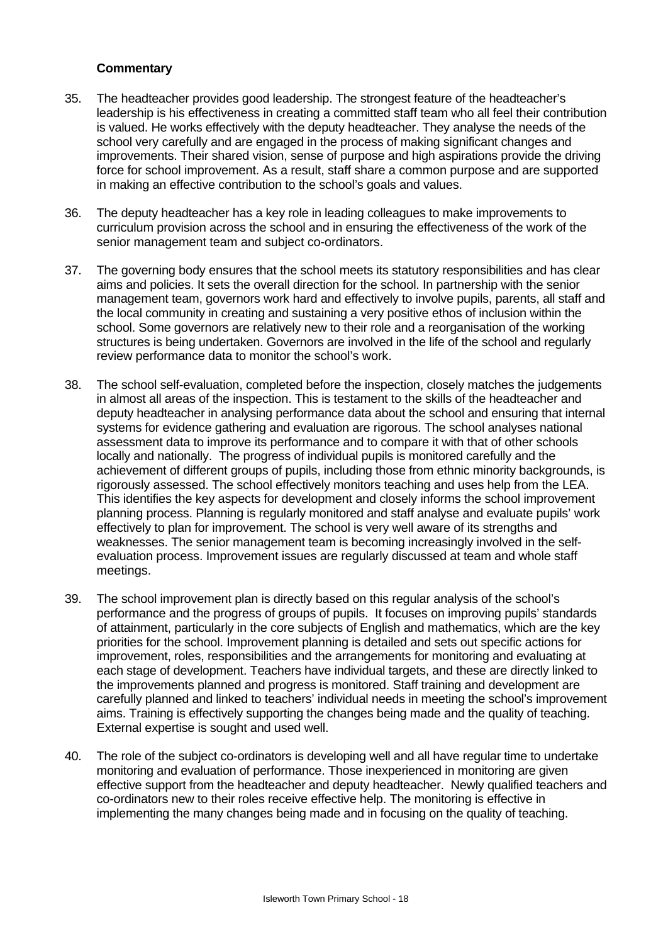- 35. The headteacher provides good leadership. The strongest feature of the headteacher's leadership is his effectiveness in creating a committed staff team who all feel their contribution is valued. He works effectively with the deputy headteacher. They analyse the needs of the school very carefully and are engaged in the process of making significant changes and improvements. Their shared vision, sense of purpose and high aspirations provide the driving force for school improvement. As a result, staff share a common purpose and are supported in making an effective contribution to the school's goals and values.
- 36. The deputy headteacher has a key role in leading colleagues to make improvements to curriculum provision across the school and in ensuring the effectiveness of the work of the senior management team and subject co-ordinators.
- 37. The governing body ensures that the school meets its statutory responsibilities and has clear aims and policies. It sets the overall direction for the school. In partnership with the senior management team, governors work hard and effectively to involve pupils, parents, all staff and the local community in creating and sustaining a very positive ethos of inclusion within the school. Some governors are relatively new to their role and a reorganisation of the working structures is being undertaken. Governors are involved in the life of the school and regularly review performance data to monitor the school's work.
- 38. The school self-evaluation, completed before the inspection, closely matches the judgements in almost all areas of the inspection. This is testament to the skills of the headteacher and deputy headteacher in analysing performance data about the school and ensuring that internal systems for evidence gathering and evaluation are rigorous. The school analyses national assessment data to improve its performance and to compare it with that of other schools locally and nationally. The progress of individual pupils is monitored carefully and the achievement of different groups of pupils, including those from ethnic minority backgrounds, is rigorously assessed. The school effectively monitors teaching and uses help from the LEA. This identifies the key aspects for development and closely informs the school improvement planning process. Planning is regularly monitored and staff analyse and evaluate pupils' work effectively to plan for improvement. The school is very well aware of its strengths and weaknesses. The senior management team is becoming increasingly involved in the selfevaluation process. Improvement issues are regularly discussed at team and whole staff meetings.
- 39. The school improvement plan is directly based on this regular analysis of the school's performance and the progress of groups of pupils. It focuses on improving pupils' standards of attainment, particularly in the core subjects of English and mathematics, which are the key priorities for the school. Improvement planning is detailed and sets out specific actions for improvement, roles, responsibilities and the arrangements for monitoring and evaluating at each stage of development. Teachers have individual targets, and these are directly linked to the improvements planned and progress is monitored. Staff training and development are carefully planned and linked to teachers' individual needs in meeting the school's improvement aims. Training is effectively supporting the changes being made and the quality of teaching. External expertise is sought and used well.
- 40. The role of the subject co-ordinators is developing well and all have regular time to undertake monitoring and evaluation of performance. Those inexperienced in monitoring are given effective support from the headteacher and deputy headteacher. Newly qualified teachers and co-ordinators new to their roles receive effective help. The monitoring is effective in implementing the many changes being made and in focusing on the quality of teaching.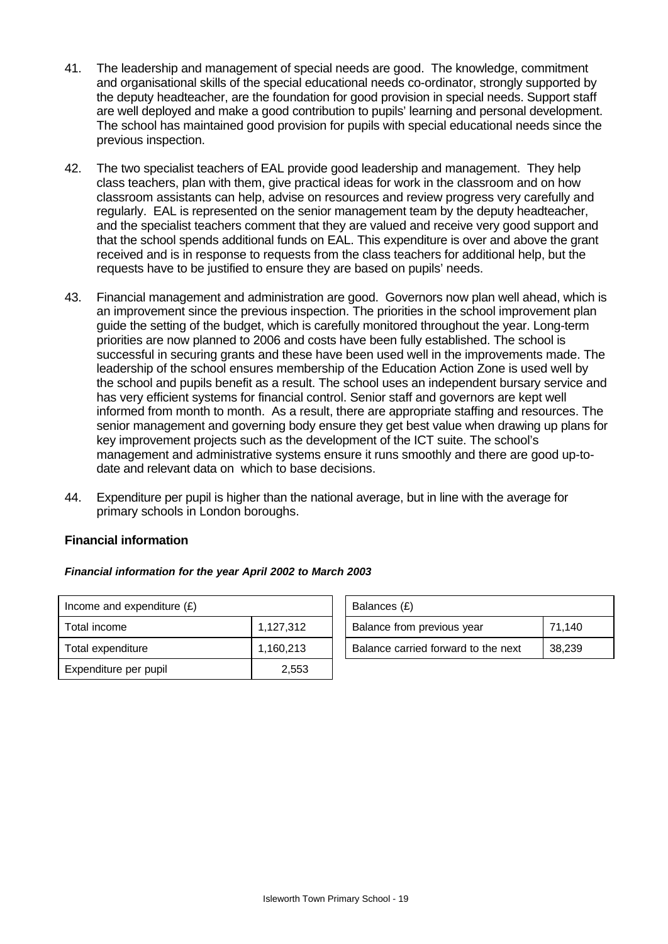- 41. The leadership and management of special needs are good. The knowledge, commitment and organisational skills of the special educational needs co-ordinator, strongly supported by the deputy headteacher, are the foundation for good provision in special needs. Support staff are well deployed and make a good contribution to pupils' learning and personal development. The school has maintained good provision for pupils with special educational needs since the previous inspection.
- 42. The two specialist teachers of EAL provide good leadership and management. They help class teachers, plan with them, give practical ideas for work in the classroom and on how classroom assistants can help, advise on resources and review progress very carefully and regularly. EAL is represented on the senior management team by the deputy headteacher, and the specialist teachers comment that they are valued and receive very good support and that the school spends additional funds on EAL. This expenditure is over and above the grant received and is in response to requests from the class teachers for additional help, but the requests have to be justified to ensure they are based on pupils' needs.
- 43. Financial management and administration are good. Governors now plan well ahead, which is an improvement since the previous inspection. The priorities in the school improvement plan guide the setting of the budget, which is carefully monitored throughout the year. Long-term priorities are now planned to 2006 and costs have been fully established. The school is successful in securing grants and these have been used well in the improvements made. The leadership of the school ensures membership of the Education Action Zone is used well by the school and pupils benefit as a result. The school uses an independent bursary service and has very efficient systems for financial control. Senior staff and governors are kept well informed from month to month. As a result, there are appropriate staffing and resources. The senior management and governing body ensure they get best value when drawing up plans for key improvement projects such as the development of the ICT suite. The school's management and administrative systems ensure it runs smoothly and there are good up-todate and relevant data on which to base decisions.
- 44. Expenditure per pupil is higher than the national average, but in line with the average for primary schools in London boroughs.

#### **Financial information**

#### *Financial information for the year April 2002 to March 2003*

| Income and expenditure $(E)$ |           | Balances (£)                        |        |  |
|------------------------------|-----------|-------------------------------------|--------|--|
| Total income                 | 1,127,312 | Balance from previous year          | 71,140 |  |
| Total expenditure            | 1,160,213 | Balance carried forward to the next | 38,239 |  |
| Expenditure per pupil        | 2,553     |                                     |        |  |

| Balances (£)                        |        |
|-------------------------------------|--------|
| Balance from previous year          | 71,140 |
| Balance carried forward to the next | 38,239 |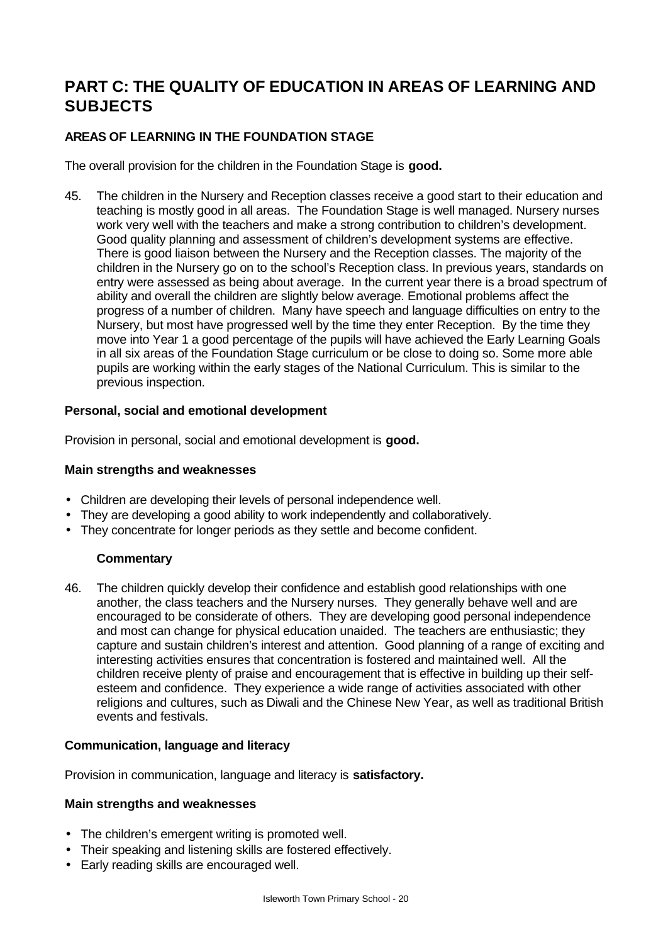# **PART C: THE QUALITY OF EDUCATION IN AREAS OF LEARNING AND SUBJECTS**

# **AREAS OF LEARNING IN THE FOUNDATION STAGE**

The overall provision for the children in the Foundation Stage is **good.**

45. The children in the Nursery and Reception classes receive a good start to their education and teaching is mostly good in all areas. The Foundation Stage is well managed. Nursery nurses work very well with the teachers and make a strong contribution to children's development. Good quality planning and assessment of children's development systems are effective. There is good liaison between the Nursery and the Reception classes. The majority of the children in the Nursery go on to the school's Reception class. In previous years, standards on entry were assessed as being about average. In the current year there is a broad spectrum of ability and overall the children are slightly below average. Emotional problems affect the progress of a number of children. Many have speech and language difficulties on entry to the Nursery, but most have progressed well by the time they enter Reception. By the time they move into Year 1 a good percentage of the pupils will have achieved the Early Learning Goals in all six areas of the Foundation Stage curriculum or be close to doing so. Some more able pupils are working within the early stages of the National Curriculum. This is similar to the previous inspection.

# **Personal, social and emotional development**

Provision in personal, social and emotional development is **good.**

### **Main strengths and weaknesses**

- Children are developing their levels of personal independence well.
- They are developing a good ability to work independently and collaboratively.
- They concentrate for longer periods as they settle and become confident.

# **Commentary**

46. The children quickly develop their confidence and establish good relationships with one another, the class teachers and the Nursery nurses. They generally behave well and are encouraged to be considerate of others. They are developing good personal independence and most can change for physical education unaided. The teachers are enthusiastic; they capture and sustain children's interest and attention. Good planning of a range of exciting and interesting activities ensures that concentration is fostered and maintained well. All the children receive plenty of praise and encouragement that is effective in building up their selfesteem and confidence. They experience a wide range of activities associated with other religions and cultures, such as Diwali and the Chinese New Year, as well as traditional British events and festivals.

#### **Communication, language and literacy**

Provision in communication, language and literacy is **satisfactory.**

- The children's emergent writing is promoted well.
- Their speaking and listening skills are fostered effectively.
- Early reading skills are encouraged well.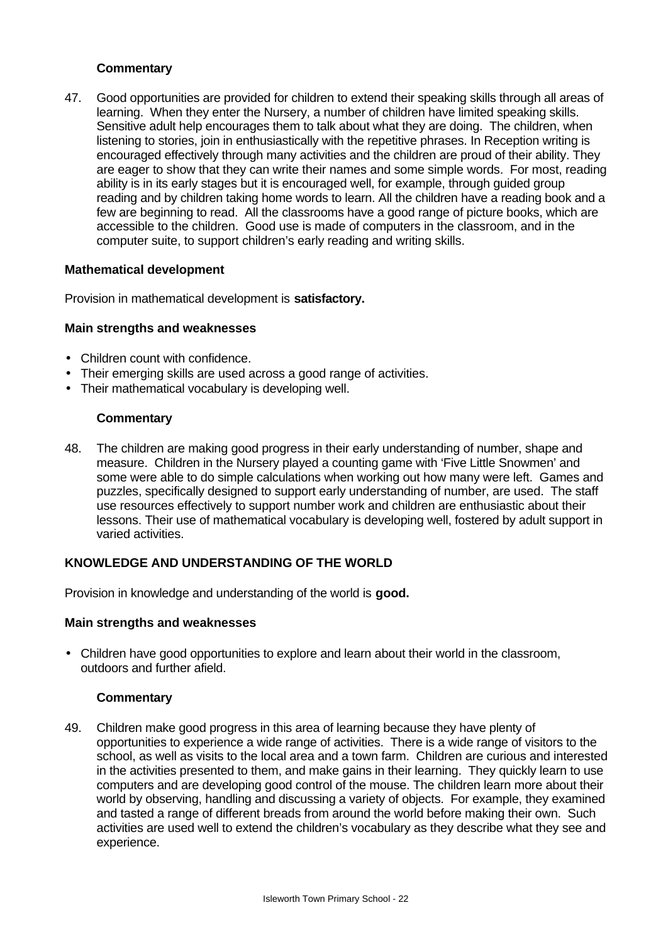47. Good opportunities are provided for children to extend their speaking skills through all areas of learning. When they enter the Nursery, a number of children have limited speaking skills. Sensitive adult help encourages them to talk about what they are doing. The children, when listening to stories, join in enthusiastically with the repetitive phrases. In Reception writing is encouraged effectively through many activities and the children are proud of their ability. They are eager to show that they can write their names and some simple words. For most, reading ability is in its early stages but it is encouraged well, for example, through guided group reading and by children taking home words to learn. All the children have a reading book and a few are beginning to read. All the classrooms have a good range of picture books, which are accessible to the children. Good use is made of computers in the classroom, and in the computer suite, to support children's early reading and writing skills.

#### **Mathematical development**

Provision in mathematical development is **satisfactory.**

# **Main strengths and weaknesses**

- Children count with confidence.
- Their emerging skills are used across a good range of activities.
- Their mathematical vocabulary is developing well.

#### **Commentary**

48. The children are making good progress in their early understanding of number, shape and measure. Children in the Nursery played a counting game with 'Five Little Snowmen' and some were able to do simple calculations when working out how many were left. Games and puzzles, specifically designed to support early understanding of number, are used. The staff use resources effectively to support number work and children are enthusiastic about their lessons. Their use of mathematical vocabulary is developing well, fostered by adult support in varied activities.

#### **KNOWLEDGE AND UNDERSTANDING OF THE WORLD**

Provision in knowledge and understanding of the world is **good.**

#### **Main strengths and weaknesses**

• Children have good opportunities to explore and learn about their world in the classroom, outdoors and further afield.

#### **Commentary**

49. Children make good progress in this area of learning because they have plenty of opportunities to experience a wide range of activities. There is a wide range of visitors to the school, as well as visits to the local area and a town farm. Children are curious and interested in the activities presented to them, and make gains in their learning. They quickly learn to use computers and are developing good control of the mouse. The children learn more about their world by observing, handling and discussing a variety of objects. For example, they examined and tasted a range of different breads from around the world before making their own. Such activities are used well to extend the children's vocabulary as they describe what they see and experience.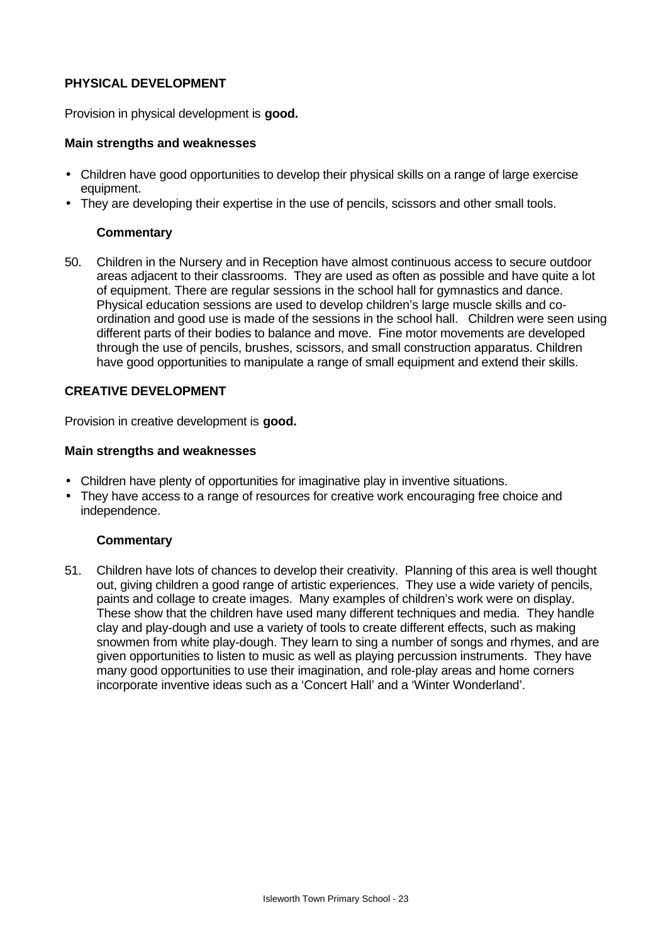# **PHYSICAL DEVELOPMENT**

Provision in physical development is **good.**

#### **Main strengths and weaknesses**

- Children have good opportunities to develop their physical skills on a range of large exercise equipment.
- They are developing their expertise in the use of pencils, scissors and other small tools.

#### **Commentary**

50. Children in the Nursery and in Reception have almost continuous access to secure outdoor areas adjacent to their classrooms. They are used as often as possible and have quite a lot of equipment. There are regular sessions in the school hall for gymnastics and dance. Physical education sessions are used to develop children's large muscle skills and coordination and good use is made of the sessions in the school hall. Children were seen using different parts of their bodies to balance and move. Fine motor movements are developed through the use of pencils, brushes, scissors, and small construction apparatus. Children have good opportunities to manipulate a range of small equipment and extend their skills.

#### **CREATIVE DEVELOPMENT**

Provision in creative development is **good.**

#### **Main strengths and weaknesses**

- Children have plenty of opportunities for imaginative play in inventive situations.
- They have access to a range of resources for creative work encouraging free choice and independence.

#### **Commentary**

51. Children have lots of chances to develop their creativity. Planning of this area is well thought out, giving children a good range of artistic experiences. They use a wide variety of pencils, paints and collage to create images. Many examples of children's work were on display. These show that the children have used many different techniques and media. They handle clay and play-dough and use a variety of tools to create different effects, such as making snowmen from white play-dough. They learn to sing a number of songs and rhymes, and are given opportunities to listen to music as well as playing percussion instruments. They have many good opportunities to use their imagination, and role-play areas and home corners incorporate inventive ideas such as a 'Concert Hall' and a 'Winter Wonderland'.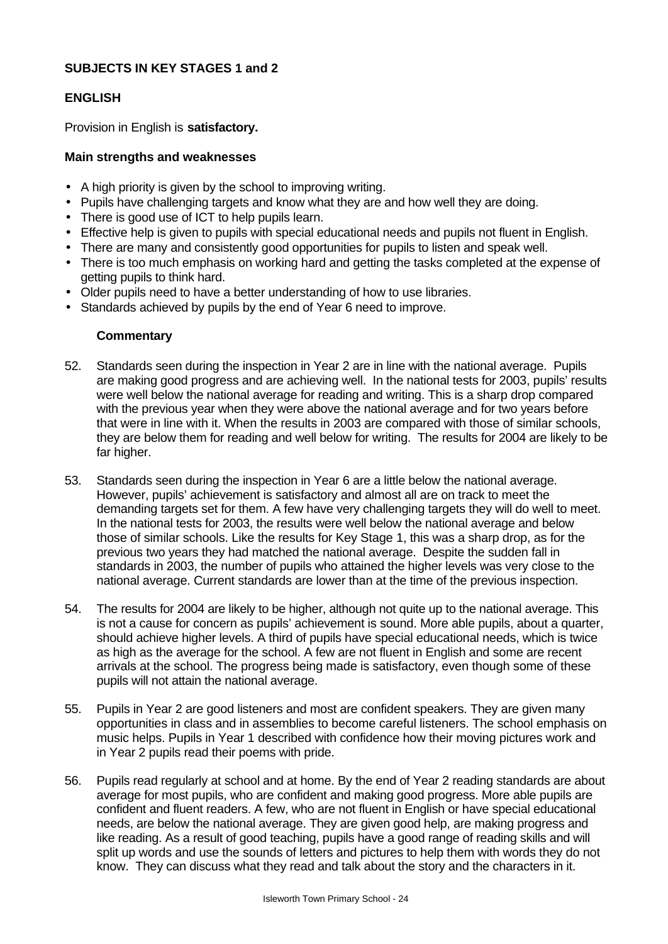# **SUBJECTS IN KEY STAGES 1 and 2**

#### **ENGLISH**

Provision in English is **satisfactory.**

#### **Main strengths and weaknesses**

- A high priority is given by the school to improving writing.
- Pupils have challenging targets and know what they are and how well they are doing.
- There is good use of ICT to help pupils learn.
- Effective help is given to pupils with special educational needs and pupils not fluent in English.
- There are many and consistently good opportunities for pupils to listen and speak well.
- There is too much emphasis on working hard and getting the tasks completed at the expense of getting pupils to think hard.
- Older pupils need to have a better understanding of how to use libraries.
- Standards achieved by pupils by the end of Year 6 need to improve.

- 52. Standards seen during the inspection in Year 2 are in line with the national average. Pupils are making good progress and are achieving well. In the national tests for 2003, pupils' results were well below the national average for reading and writing. This is a sharp drop compared with the previous year when they were above the national average and for two years before that were in line with it. When the results in 2003 are compared with those of similar schools, they are below them for reading and well below for writing. The results for 2004 are likely to be far higher.
- 53. Standards seen during the inspection in Year 6 are a little below the national average. However, pupils' achievement is satisfactory and almost all are on track to meet the demanding targets set for them. A few have very challenging targets they will do well to meet. In the national tests for 2003, the results were well below the national average and below those of similar schools. Like the results for Key Stage 1, this was a sharp drop, as for the previous two years they had matched the national average. Despite the sudden fall in standards in 2003, the number of pupils who attained the higher levels was very close to the national average. Current standards are lower than at the time of the previous inspection.
- 54. The results for 2004 are likely to be higher, although not quite up to the national average. This is not a cause for concern as pupils' achievement is sound. More able pupils, about a quarter, should achieve higher levels. A third of pupils have special educational needs, which is twice as high as the average for the school. A few are not fluent in English and some are recent arrivals at the school. The progress being made is satisfactory, even though some of these pupils will not attain the national average.
- 55. Pupils in Year 2 are good listeners and most are confident speakers. They are given many opportunities in class and in assemblies to become careful listeners. The school emphasis on music helps. Pupils in Year 1 described with confidence how their moving pictures work and in Year 2 pupils read their poems with pride.
- 56. Pupils read regularly at school and at home. By the end of Year 2 reading standards are about average for most pupils, who are confident and making good progress. More able pupils are confident and fluent readers. A few, who are not fluent in English or have special educational needs, are below the national average. They are given good help, are making progress and like reading. As a result of good teaching, pupils have a good range of reading skills and will split up words and use the sounds of letters and pictures to help them with words they do not know. They can discuss what they read and talk about the story and the characters in it.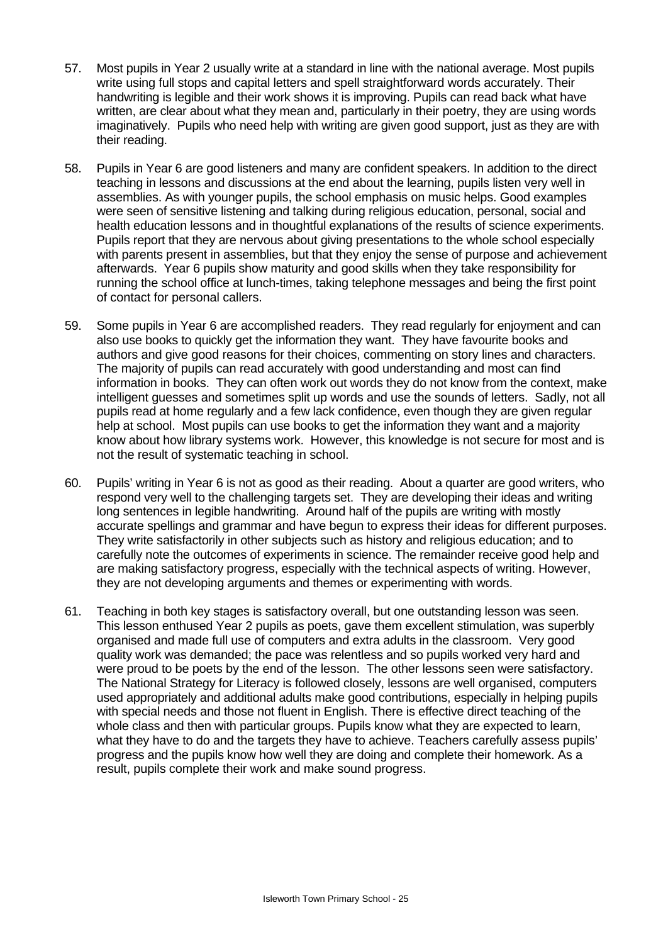- 57. Most pupils in Year 2 usually write at a standard in line with the national average. Most pupils write using full stops and capital letters and spell straightforward words accurately. Their handwriting is legible and their work shows it is improving. Pupils can read back what have written, are clear about what they mean and, particularly in their poetry, they are using words imaginatively. Pupils who need help with writing are given good support, just as they are with their reading.
- 58. Pupils in Year 6 are good listeners and many are confident speakers. In addition to the direct teaching in lessons and discussions at the end about the learning, pupils listen very well in assemblies. As with younger pupils, the school emphasis on music helps. Good examples were seen of sensitive listening and talking during religious education, personal, social and health education lessons and in thoughtful explanations of the results of science experiments. Pupils report that they are nervous about giving presentations to the whole school especially with parents present in assemblies, but that they enjoy the sense of purpose and achievement afterwards. Year 6 pupils show maturity and good skills when they take responsibility for running the school office at lunch-times, taking telephone messages and being the first point of contact for personal callers.
- 59. Some pupils in Year 6 are accomplished readers. They read regularly for enjoyment and can also use books to quickly get the information they want. They have favourite books and authors and give good reasons for their choices, commenting on story lines and characters. The majority of pupils can read accurately with good understanding and most can find information in books. They can often work out words they do not know from the context, make intelligent guesses and sometimes split up words and use the sounds of letters. Sadly, not all pupils read at home regularly and a few lack confidence, even though they are given regular help at school. Most pupils can use books to get the information they want and a majority know about how library systems work. However, this knowledge is not secure for most and is not the result of systematic teaching in school.
- 60. Pupils' writing in Year 6 is not as good as their reading. About a quarter are good writers, who respond very well to the challenging targets set. They are developing their ideas and writing long sentences in legible handwriting. Around half of the pupils are writing with mostly accurate spellings and grammar and have begun to express their ideas for different purposes. They write satisfactorily in other subjects such as history and religious education; and to carefully note the outcomes of experiments in science. The remainder receive good help and are making satisfactory progress, especially with the technical aspects of writing. However, they are not developing arguments and themes or experimenting with words.
- 61. Teaching in both key stages is satisfactory overall, but one outstanding lesson was seen. This lesson enthused Year 2 pupils as poets, gave them excellent stimulation, was superbly organised and made full use of computers and extra adults in the classroom. Very good quality work was demanded; the pace was relentless and so pupils worked very hard and were proud to be poets by the end of the lesson. The other lessons seen were satisfactory. The National Strategy for Literacy is followed closely, lessons are well organised, computers used appropriately and additional adults make good contributions, especially in helping pupils with special needs and those not fluent in English. There is effective direct teaching of the whole class and then with particular groups. Pupils know what they are expected to learn, what they have to do and the targets they have to achieve. Teachers carefully assess pupils' progress and the pupils know how well they are doing and complete their homework. As a result, pupils complete their work and make sound progress.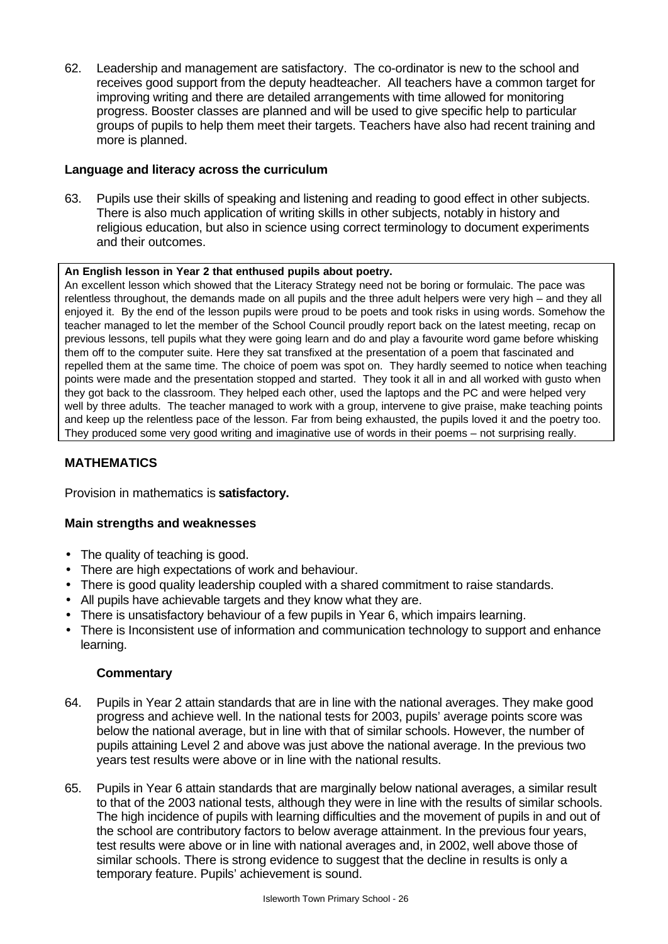62. Leadership and management are satisfactory. The co-ordinator is new to the school and receives good support from the deputy headteacher. All teachers have a common target for improving writing and there are detailed arrangements with time allowed for monitoring progress. Booster classes are planned and will be used to give specific help to particular groups of pupils to help them meet their targets. Teachers have also had recent training and more is planned.

### **Language and literacy across the curriculum**

63. Pupils use their skills of speaking and listening and reading to good effect in other subjects. There is also much application of writing skills in other subjects, notably in history and religious education, but also in science using correct terminology to document experiments and their outcomes.

#### **An English lesson in Year 2 that enthused pupils about poetry.**

An excellent lesson which showed that the Literacy Strategy need not be boring or formulaic. The pace was relentless throughout, the demands made on all pupils and the three adult helpers were very high – and they all enjoyed it. By the end of the lesson pupils were proud to be poets and took risks in using words. Somehow the teacher managed to let the member of the School Council proudly report back on the latest meeting, recap on previous lessons, tell pupils what they were going learn and do and play a favourite word game before whisking them off to the computer suite. Here they sat transfixed at the presentation of a poem that fascinated and repelled them at the same time. The choice of poem was spot on. They hardly seemed to notice when teaching points were made and the presentation stopped and started. They took it all in and all worked with gusto when they got back to the classroom. They helped each other, used the laptops and the PC and were helped very well by three adults. The teacher managed to work with a group, intervene to give praise, make teaching points and keep up the relentless pace of the lesson. Far from being exhausted, the pupils loved it and the poetry too. They produced some very good writing and imaginative use of words in their poems – not surprising really.

# **MATHEMATICS**

Provision in mathematics is **satisfactory.**

#### **Main strengths and weaknesses**

- The quality of teaching is good.
- There are high expectations of work and behaviour.
- There is good quality leadership coupled with a shared commitment to raise standards.
- All pupils have achievable targets and they know what they are.
- There is unsatisfactory behaviour of a few pupils in Year 6, which impairs learning.
- There is Inconsistent use of information and communication technology to support and enhance learning.

- 64. Pupils in Year 2 attain standards that are in line with the national averages. They make good progress and achieve well. In the national tests for 2003, pupils' average points score was below the national average, but in line with that of similar schools. However, the number of pupils attaining Level 2 and above was just above the national average. In the previous two years test results were above or in line with the national results.
- 65. Pupils in Year 6 attain standards that are marginally below national averages, a similar result to that of the 2003 national tests, although they were in line with the results of similar schools. The high incidence of pupils with learning difficulties and the movement of pupils in and out of the school are contributory factors to below average attainment. In the previous four years, test results were above or in line with national averages and, in 2002, well above those of similar schools. There is strong evidence to suggest that the decline in results is only a temporary feature. Pupils' achievement is sound.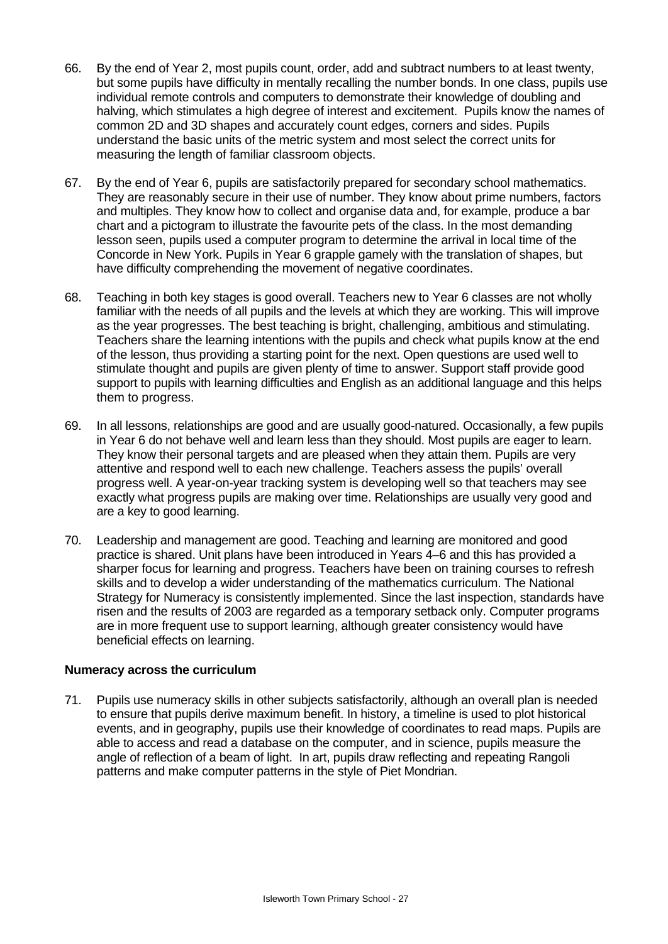- 66. By the end of Year 2, most pupils count, order, add and subtract numbers to at least twenty, but some pupils have difficulty in mentally recalling the number bonds. In one class, pupils use individual remote controls and computers to demonstrate their knowledge of doubling and halving, which stimulates a high degree of interest and excitement. Pupils know the names of common 2D and 3D shapes and accurately count edges, corners and sides. Pupils understand the basic units of the metric system and most select the correct units for measuring the length of familiar classroom objects.
- 67. By the end of Year 6, pupils are satisfactorily prepared for secondary school mathematics. They are reasonably secure in their use of number. They know about prime numbers, factors and multiples. They know how to collect and organise data and, for example, produce a bar chart and a pictogram to illustrate the favourite pets of the class. In the most demanding lesson seen, pupils used a computer program to determine the arrival in local time of the Concorde in New York. Pupils in Year 6 grapple gamely with the translation of shapes, but have difficulty comprehending the movement of negative coordinates.
- 68. Teaching in both key stages is good overall. Teachers new to Year 6 classes are not wholly familiar with the needs of all pupils and the levels at which they are working. This will improve as the year progresses. The best teaching is bright, challenging, ambitious and stimulating. Teachers share the learning intentions with the pupils and check what pupils know at the end of the lesson, thus providing a starting point for the next. Open questions are used well to stimulate thought and pupils are given plenty of time to answer. Support staff provide good support to pupils with learning difficulties and English as an additional language and this helps them to progress.
- 69. In all lessons, relationships are good and are usually good-natured. Occasionally, a few pupils in Year 6 do not behave well and learn less than they should. Most pupils are eager to learn. They know their personal targets and are pleased when they attain them. Pupils are very attentive and respond well to each new challenge. Teachers assess the pupils' overall progress well. A year-on-year tracking system is developing well so that teachers may see exactly what progress pupils are making over time. Relationships are usually very good and are a key to good learning.
- 70. Leadership and management are good. Teaching and learning are monitored and good practice is shared. Unit plans have been introduced in Years 4–6 and this has provided a sharper focus for learning and progress. Teachers have been on training courses to refresh skills and to develop a wider understanding of the mathematics curriculum. The National Strategy for Numeracy is consistently implemented. Since the last inspection, standards have risen and the results of 2003 are regarded as a temporary setback only. Computer programs are in more frequent use to support learning, although greater consistency would have beneficial effects on learning.

#### **Numeracy across the curriculum**

71. Pupils use numeracy skills in other subjects satisfactorily, although an overall plan is needed to ensure that pupils derive maximum benefit. In history, a timeline is used to plot historical events, and in geography, pupils use their knowledge of coordinates to read maps. Pupils are able to access and read a database on the computer, and in science, pupils measure the angle of reflection of a beam of light. In art, pupils draw reflecting and repeating Rangoli patterns and make computer patterns in the style of Piet Mondrian.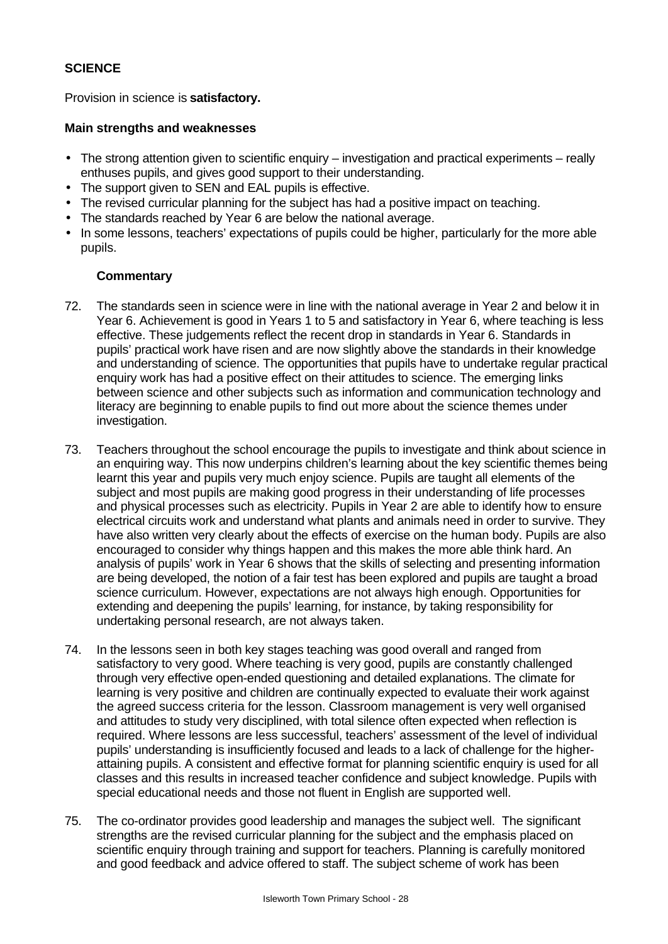### **SCIENCE**

Provision in science is **satisfactory.**

#### **Main strengths and weaknesses**

- The strong attention given to scientific enquiry investigation and practical experiments really enthuses pupils, and gives good support to their understanding.
- The support given to SEN and EAL pupils is effective.
- The revised curricular planning for the subject has had a positive impact on teaching.
- The standards reached by Year 6 are below the national average.
- In some lessons, teachers' expectations of pupils could be higher, particularly for the more able pupils.

- 72. The standards seen in science were in line with the national average in Year 2 and below it in Year 6. Achievement is good in Years 1 to 5 and satisfactory in Year 6, where teaching is less effective. These judgements reflect the recent drop in standards in Year 6. Standards in pupils' practical work have risen and are now slightly above the standards in their knowledge and understanding of science. The opportunities that pupils have to undertake regular practical enquiry work has had a positive effect on their attitudes to science. The emerging links between science and other subjects such as information and communication technology and literacy are beginning to enable pupils to find out more about the science themes under investigation.
- 73. Teachers throughout the school encourage the pupils to investigate and think about science in an enquiring way. This now underpins children's learning about the key scientific themes being learnt this year and pupils very much enjoy science. Pupils are taught all elements of the subject and most pupils are making good progress in their understanding of life processes and physical processes such as electricity. Pupils in Year 2 are able to identify how to ensure electrical circuits work and understand what plants and animals need in order to survive. They have also written very clearly about the effects of exercise on the human body. Pupils are also encouraged to consider why things happen and this makes the more able think hard. An analysis of pupils' work in Year 6 shows that the skills of selecting and presenting information are being developed, the notion of a fair test has been explored and pupils are taught a broad science curriculum. However, expectations are not always high enough. Opportunities for extending and deepening the pupils' learning, for instance, by taking responsibility for undertaking personal research, are not always taken.
- 74. In the lessons seen in both key stages teaching was good overall and ranged from satisfactory to very good. Where teaching is very good, pupils are constantly challenged through very effective open-ended questioning and detailed explanations. The climate for learning is very positive and children are continually expected to evaluate their work against the agreed success criteria for the lesson. Classroom management is very well organised and attitudes to study very disciplined, with total silence often expected when reflection is required. Where lessons are less successful, teachers' assessment of the level of individual pupils' understanding is insufficiently focused and leads to a lack of challenge for the higherattaining pupils. A consistent and effective format for planning scientific enquiry is used for all classes and this results in increased teacher confidence and subject knowledge. Pupils with special educational needs and those not fluent in English are supported well.
- 75. The co-ordinator provides good leadership and manages the subject well. The significant strengths are the revised curricular planning for the subject and the emphasis placed on scientific enquiry through training and support for teachers. Planning is carefully monitored and good feedback and advice offered to staff. The subject scheme of work has been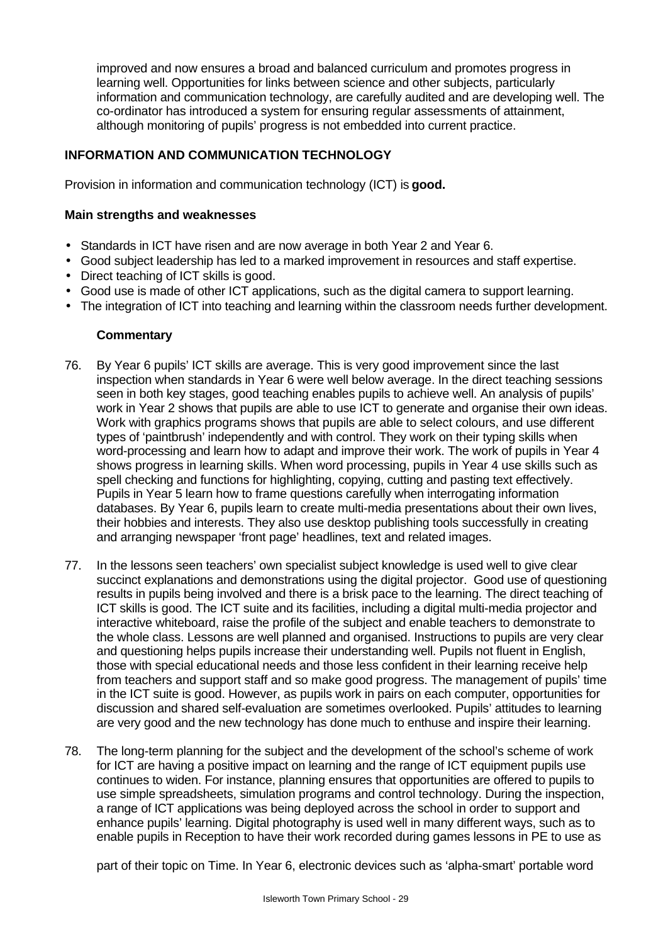improved and now ensures a broad and balanced curriculum and promotes progress in learning well. Opportunities for links between science and other subjects, particularly information and communication technology, are carefully audited and are developing well. The co-ordinator has introduced a system for ensuring regular assessments of attainment, although monitoring of pupils' progress is not embedded into current practice.

# **INFORMATION AND COMMUNICATION TECHNOLOGY**

Provision in information and communication technology (ICT) is **good.**

#### **Main strengths and weaknesses**

- Standards in ICT have risen and are now average in both Year 2 and Year 6.
- Good subject leadership has led to a marked improvement in resources and staff expertise.
- Direct teaching of ICT skills is good.
- Good use is made of other ICT applications, such as the digital camera to support learning.
- The integration of ICT into teaching and learning within the classroom needs further development.

#### **Commentary**

- 76. By Year 6 pupils' ICT skills are average. This is very good improvement since the last inspection when standards in Year 6 were well below average. In the direct teaching sessions seen in both key stages, good teaching enables pupils to achieve well. An analysis of pupils' work in Year 2 shows that pupils are able to use ICT to generate and organise their own ideas. Work with graphics programs shows that pupils are able to select colours, and use different types of 'paintbrush' independently and with control. They work on their typing skills when word-processing and learn how to adapt and improve their work. The work of pupils in Year 4 shows progress in learning skills. When word processing, pupils in Year 4 use skills such as spell checking and functions for highlighting, copying, cutting and pasting text effectively. Pupils in Year 5 learn how to frame questions carefully when interrogating information databases. By Year 6, pupils learn to create multi-media presentations about their own lives, their hobbies and interests. They also use desktop publishing tools successfully in creating and arranging newspaper 'front page' headlines, text and related images.
- 77. In the lessons seen teachers' own specialist subject knowledge is used well to give clear succinct explanations and demonstrations using the digital projector. Good use of questioning results in pupils being involved and there is a brisk pace to the learning. The direct teaching of ICT skills is good. The ICT suite and its facilities, including a digital multi-media projector and interactive whiteboard, raise the profile of the subject and enable teachers to demonstrate to the whole class. Lessons are well planned and organised. Instructions to pupils are very clear and questioning helps pupils increase their understanding well. Pupils not fluent in English, those with special educational needs and those less confident in their learning receive help from teachers and support staff and so make good progress. The management of pupils' time in the ICT suite is good. However, as pupils work in pairs on each computer, opportunities for discussion and shared self-evaluation are sometimes overlooked. Pupils' attitudes to learning are very good and the new technology has done much to enthuse and inspire their learning.
- 78. The long-term planning for the subject and the development of the school's scheme of work for ICT are having a positive impact on learning and the range of ICT equipment pupils use continues to widen. For instance, planning ensures that opportunities are offered to pupils to use simple spreadsheets, simulation programs and control technology. During the inspection, a range of ICT applications was being deployed across the school in order to support and enhance pupils' learning. Digital photography is used well in many different ways, such as to enable pupils in Reception to have their work recorded during games lessons in PE to use as

part of their topic on Time. In Year 6, electronic devices such as 'alpha-smart' portable word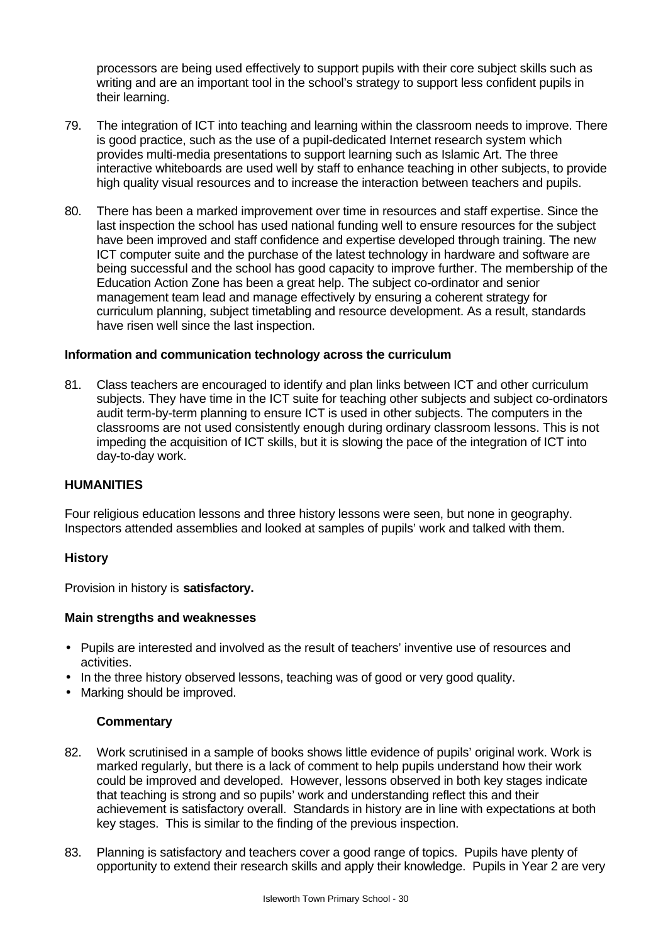processors are being used effectively to support pupils with their core subject skills such as writing and are an important tool in the school's strategy to support less confident pupils in their learning.

- 79. The integration of ICT into teaching and learning within the classroom needs to improve. There is good practice, such as the use of a pupil-dedicated Internet research system which provides multi-media presentations to support learning such as Islamic Art. The three interactive whiteboards are used well by staff to enhance teaching in other subjects, to provide high quality visual resources and to increase the interaction between teachers and pupils.
- 80. There has been a marked improvement over time in resources and staff expertise. Since the last inspection the school has used national funding well to ensure resources for the subject have been improved and staff confidence and expertise developed through training. The new ICT computer suite and the purchase of the latest technology in hardware and software are being successful and the school has good capacity to improve further. The membership of the Education Action Zone has been a great help. The subject co-ordinator and senior management team lead and manage effectively by ensuring a coherent strategy for curriculum planning, subject timetabling and resource development. As a result, standards have risen well since the last inspection.

#### **Information and communication technology across the curriculum**

81. Class teachers are encouraged to identify and plan links between ICT and other curriculum subjects. They have time in the ICT suite for teaching other subjects and subject co-ordinators audit term-by-term planning to ensure ICT is used in other subjects. The computers in the classrooms are not used consistently enough during ordinary classroom lessons. This is not impeding the acquisition of ICT skills, but it is slowing the pace of the integration of ICT into day-to-day work.

#### **HUMANITIES**

Four religious education lessons and three history lessons were seen, but none in geography. Inspectors attended assemblies and looked at samples of pupils' work and talked with them.

#### **History**

Provision in history is **satisfactory.**

#### **Main strengths and weaknesses**

- Pupils are interested and involved as the result of teachers' inventive use of resources and activities.
- In the three history observed lessons, teaching was of good or very good quality.
- Marking should be improved.

- 82. Work scrutinised in a sample of books shows little evidence of pupils' original work. Work is marked regularly, but there is a lack of comment to help pupils understand how their work could be improved and developed. However, lessons observed in both key stages indicate that teaching is strong and so pupils' work and understanding reflect this and their achievement is satisfactory overall. Standards in history are in line with expectations at both key stages. This is similar to the finding of the previous inspection.
- 83. Planning is satisfactory and teachers cover a good range of topics. Pupils have plenty of opportunity to extend their research skills and apply their knowledge. Pupils in Year 2 are very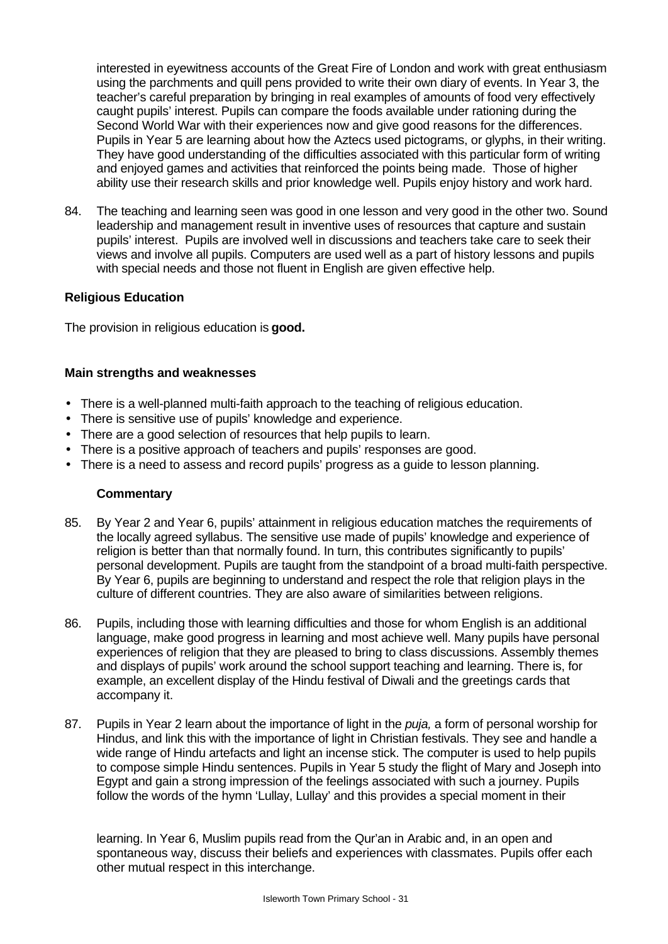interested in eyewitness accounts of the Great Fire of London and work with great enthusiasm using the parchments and quill pens provided to write their own diary of events. In Year 3, the teacher's careful preparation by bringing in real examples of amounts of food very effectively caught pupils' interest. Pupils can compare the foods available under rationing during the Second World War with their experiences now and give good reasons for the differences. Pupils in Year 5 are learning about how the Aztecs used pictograms, or glyphs, in their writing. They have good understanding of the difficulties associated with this particular form of writing and enjoyed games and activities that reinforced the points being made. Those of higher ability use their research skills and prior knowledge well. Pupils enjoy history and work hard.

84. The teaching and learning seen was good in one lesson and very good in the other two. Sound leadership and management result in inventive uses of resources that capture and sustain pupils' interest. Pupils are involved well in discussions and teachers take care to seek their views and involve all pupils. Computers are used well as a part of history lessons and pupils with special needs and those not fluent in English are given effective help.

# **Religious Education**

The provision in religious education is **good.**

#### **Main strengths and weaknesses**

- There is a well-planned multi-faith approach to the teaching of religious education.
- There is sensitive use of pupils' knowledge and experience.
- There are a good selection of resources that help pupils to learn.
- There is a positive approach of teachers and pupils' responses are good.
- There is a need to assess and record pupils' progress as a guide to lesson planning.

#### **Commentary**

- 85. By Year 2 and Year 6, pupils' attainment in religious education matches the requirements of the locally agreed syllabus. The sensitive use made of pupils' knowledge and experience of religion is better than that normally found. In turn, this contributes significantly to pupils' personal development. Pupils are taught from the standpoint of a broad multi-faith perspective. By Year 6, pupils are beginning to understand and respect the role that religion plays in the culture of different countries. They are also aware of similarities between religions.
- 86. Pupils, including those with learning difficulties and those for whom English is an additional language, make good progress in learning and most achieve well. Many pupils have personal experiences of religion that they are pleased to bring to class discussions. Assembly themes and displays of pupils' work around the school support teaching and learning. There is, for example, an excellent display of the Hindu festival of Diwali and the greetings cards that accompany it.
- 87. Pupils in Year 2 learn about the importance of light in the *puja,* a form of personal worship for Hindus, and link this with the importance of light in Christian festivals. They see and handle a wide range of Hindu artefacts and light an incense stick. The computer is used to help pupils to compose simple Hindu sentences. Pupils in Year 5 study the flight of Mary and Joseph into Egypt and gain a strong impression of the feelings associated with such a journey. Pupils follow the words of the hymn 'Lullay, Lullay' and this provides a special moment in their

learning. In Year 6, Muslim pupils read from the Qur'an in Arabic and, in an open and spontaneous way, discuss their beliefs and experiences with classmates. Pupils offer each other mutual respect in this interchange.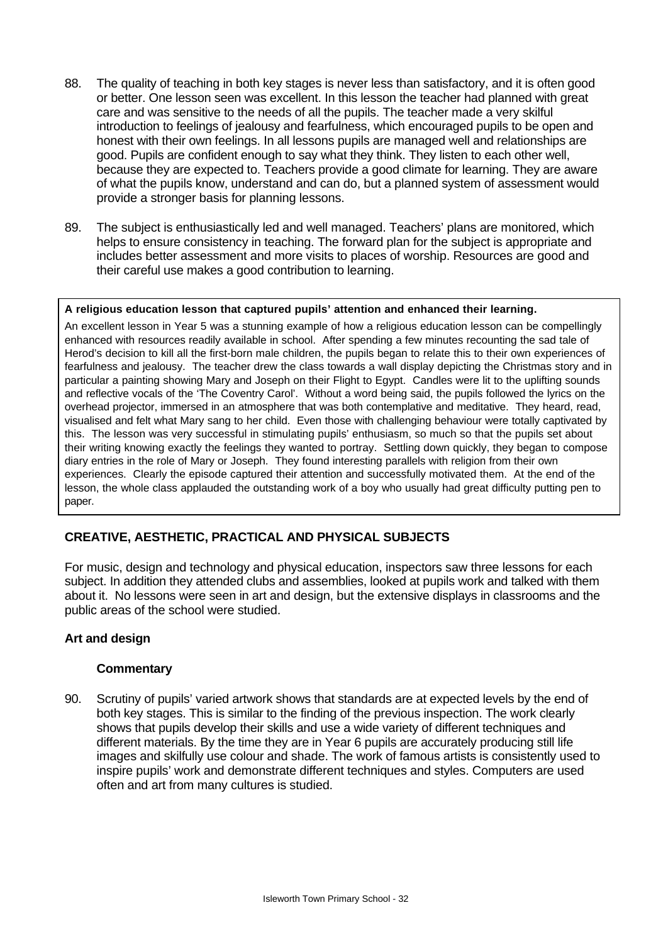- 88. The quality of teaching in both key stages is never less than satisfactory, and it is often good or better. One lesson seen was excellent. In this lesson the teacher had planned with great care and was sensitive to the needs of all the pupils. The teacher made a very skilful introduction to feelings of jealousy and fearfulness, which encouraged pupils to be open and honest with their own feelings. In all lessons pupils are managed well and relationships are good. Pupils are confident enough to say what they think. They listen to each other well, because they are expected to. Teachers provide a good climate for learning. They are aware of what the pupils know, understand and can do, but a planned system of assessment would provide a stronger basis for planning lessons.
- 89. The subject is enthusiastically led and well managed. Teachers' plans are monitored, which helps to ensure consistency in teaching. The forward plan for the subject is appropriate and includes better assessment and more visits to places of worship. Resources are good and their careful use makes a good contribution to learning.

#### **A religious education lesson that captured pupils' attention and enhanced their learning.**

An excellent lesson in Year 5 was a stunning example of how a religious education lesson can be compellingly enhanced with resources readily available in school. After spending a few minutes recounting the sad tale of Herod's decision to kill all the first-born male children, the pupils began to relate this to their own experiences of fearfulness and jealousy. The teacher drew the class towards a wall display depicting the Christmas story and in particular a painting showing Mary and Joseph on their Flight to Egypt. Candles were lit to the uplifting sounds and reflective vocals of the 'The Coventry Carol'. Without a word being said, the pupils followed the lyrics on the overhead projector, immersed in an atmosphere that was both contemplative and meditative. They heard, read, visualised and felt what Mary sang to her child. Even those with challenging behaviour were totally captivated by this. The lesson was very successful in stimulating pupils' enthusiasm, so much so that the pupils set about their writing knowing exactly the feelings they wanted to portray. Settling down quickly, they began to compose diary entries in the role of Mary or Joseph. They found interesting parallels with religion from their own experiences. Clearly the episode captured their attention and successfully motivated them. At the end of the lesson, the whole class applauded the outstanding work of a boy who usually had great difficulty putting pen to paper.

# **CREATIVE, AESTHETIC, PRACTICAL AND PHYSICAL SUBJECTS**

For music, design and technology and physical education, inspectors saw three lessons for each subject. In addition they attended clubs and assemblies, looked at pupils work and talked with them about it. No lessons were seen in art and design, but the extensive displays in classrooms and the public areas of the school were studied.

#### **Art and design**

#### **Commentary**

90. Scrutiny of pupils' varied artwork shows that standards are at expected levels by the end of both key stages. This is similar to the finding of the previous inspection. The work clearly shows that pupils develop their skills and use a wide variety of different techniques and different materials. By the time they are in Year 6 pupils are accurately producing still life images and skilfully use colour and shade. The work of famous artists is consistently used to inspire pupils' work and demonstrate different techniques and styles. Computers are used often and art from many cultures is studied.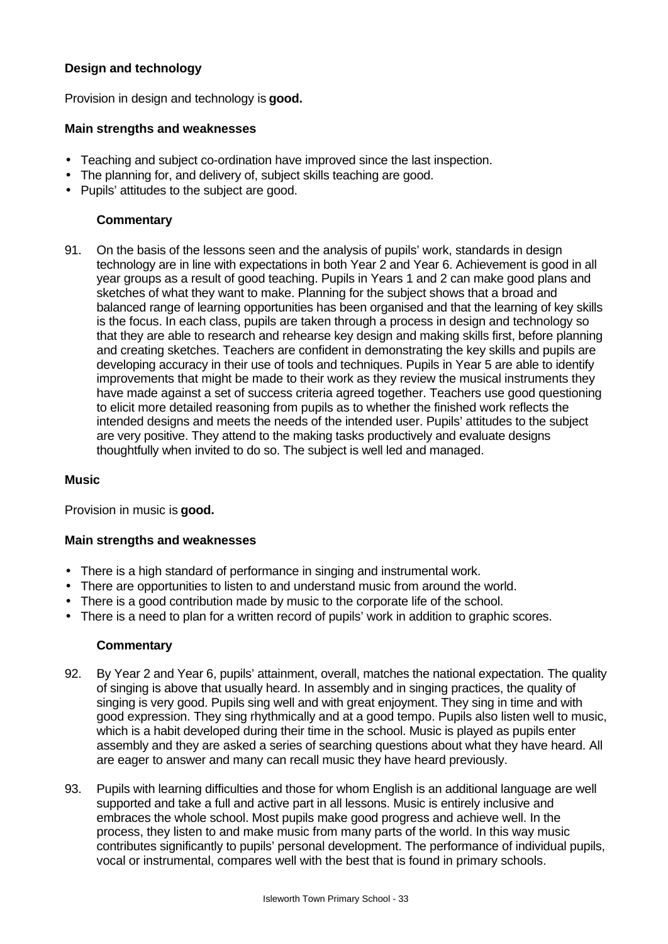# **Design and technology**

Provision in design and technology is **good.**

### **Main strengths and weaknesses**

- Teaching and subject co-ordination have improved since the last inspection.
- The planning for, and delivery of, subject skills teaching are good.
- Pupils' attitudes to the subject are good.

# **Commentary**

91. On the basis of the lessons seen and the analysis of pupils' work, standards in design technology are in line with expectations in both Year 2 and Year 6. Achievement is good in all year groups as a result of good teaching. Pupils in Years 1 and 2 can make good plans and sketches of what they want to make. Planning for the subject shows that a broad and balanced range of learning opportunities has been organised and that the learning of key skills is the focus. In each class, pupils are taken through a process in design and technology so that they are able to research and rehearse key design and making skills first, before planning and creating sketches. Teachers are confident in demonstrating the key skills and pupils are developing accuracy in their use of tools and techniques. Pupils in Year 5 are able to identify improvements that might be made to their work as they review the musical instruments they have made against a set of success criteria agreed together. Teachers use good questioning to elicit more detailed reasoning from pupils as to whether the finished work reflects the intended designs and meets the needs of the intended user. Pupils' attitudes to the subject are very positive. They attend to the making tasks productively and evaluate designs thoughtfully when invited to do so. The subject is well led and managed.

#### **Music**

Provision in music is **good.**

#### **Main strengths and weaknesses**

- There is a high standard of performance in singing and instrumental work.
- There are opportunities to listen to and understand music from around the world.
- There is a good contribution made by music to the corporate life of the school.
- There is a need to plan for a written record of pupils' work in addition to graphic scores.

- 92. By Year 2 and Year 6, pupils' attainment, overall, matches the national expectation. The quality of singing is above that usually heard. In assembly and in singing practices, the quality of singing is very good. Pupils sing well and with great enjoyment. They sing in time and with good expression. They sing rhythmically and at a good tempo. Pupils also listen well to music, which is a habit developed during their time in the school. Music is played as pupils enter assembly and they are asked a series of searching questions about what they have heard. All are eager to answer and many can recall music they have heard previously.
- 93. Pupils with learning difficulties and those for whom English is an additional language are well supported and take a full and active part in all lessons. Music is entirely inclusive and embraces the whole school. Most pupils make good progress and achieve well. In the process, they listen to and make music from many parts of the world. In this way music contributes significantly to pupils' personal development. The performance of individual pupils, vocal or instrumental, compares well with the best that is found in primary schools.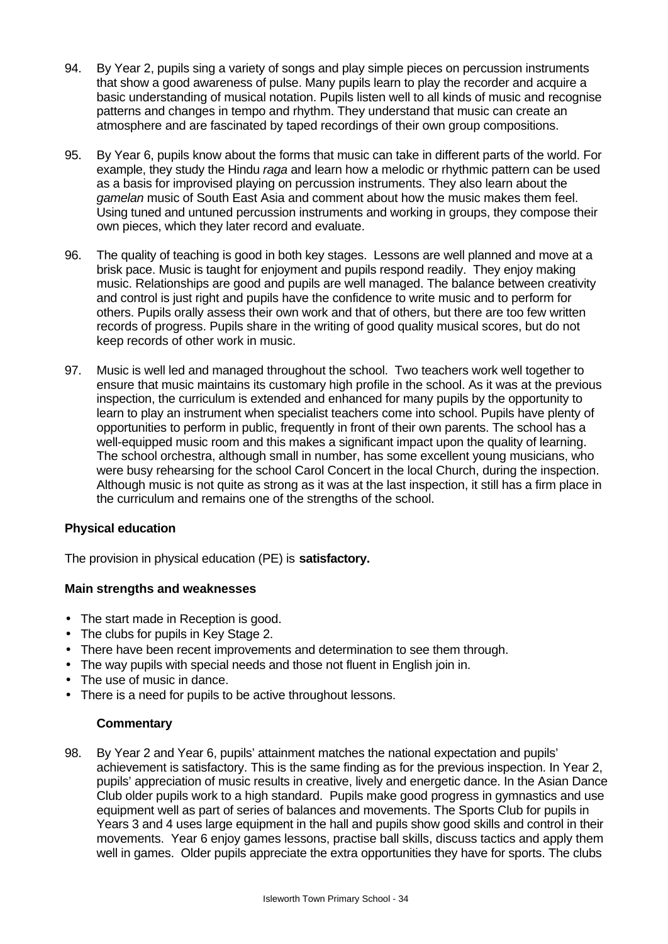- 94. By Year 2, pupils sing a variety of songs and play simple pieces on percussion instruments that show a good awareness of pulse. Many pupils learn to play the recorder and acquire a basic understanding of musical notation. Pupils listen well to all kinds of music and recognise patterns and changes in tempo and rhythm. They understand that music can create an atmosphere and are fascinated by taped recordings of their own group compositions.
- 95. By Year 6, pupils know about the forms that music can take in different parts of the world. For example, they study the Hindu *raga* and learn how a melodic or rhythmic pattern can be used as a basis for improvised playing on percussion instruments. They also learn about the *gamelan* music of South East Asia and comment about how the music makes them feel. Using tuned and untuned percussion instruments and working in groups, they compose their own pieces, which they later record and evaluate.
- 96. The quality of teaching is good in both key stages. Lessons are well planned and move at a brisk pace. Music is taught for enjoyment and pupils respond readily. They enjoy making music. Relationships are good and pupils are well managed. The balance between creativity and control is just right and pupils have the confidence to write music and to perform for others. Pupils orally assess their own work and that of others, but there are too few written records of progress. Pupils share in the writing of good quality musical scores, but do not keep records of other work in music.
- 97. Music is well led and managed throughout the school. Two teachers work well together to ensure that music maintains its customary high profile in the school. As it was at the previous inspection, the curriculum is extended and enhanced for many pupils by the opportunity to learn to play an instrument when specialist teachers come into school. Pupils have plenty of opportunities to perform in public, frequently in front of their own parents. The school has a well-equipped music room and this makes a significant impact upon the quality of learning. The school orchestra, although small in number, has some excellent young musicians, who were busy rehearsing for the school Carol Concert in the local Church, during the inspection. Although music is not quite as strong as it was at the last inspection, it still has a firm place in the curriculum and remains one of the strengths of the school.

#### **Physical education**

The provision in physical education (PE) is **satisfactory.**

#### **Main strengths and weaknesses**

- The start made in Reception is good.
- The clubs for pupils in Key Stage 2.
- There have been recent improvements and determination to see them through.
- The way pupils with special needs and those not fluent in English join in.
- The use of music in dance.
- There is a need for pupils to be active throughout lessons.

#### **Commentary**

98. By Year 2 and Year 6, pupils' attainment matches the national expectation and pupils' achievement is satisfactory. This is the same finding as for the previous inspection. In Year 2, pupils' appreciation of music results in creative, lively and energetic dance. In the Asian Dance Club older pupils work to a high standard. Pupils make good progress in gymnastics and use equipment well as part of series of balances and movements. The Sports Club for pupils in Years 3 and 4 uses large equipment in the hall and pupils show good skills and control in their movements. Year 6 enjoy games lessons, practise ball skills, discuss tactics and apply them well in games. Older pupils appreciate the extra opportunities they have for sports. The clubs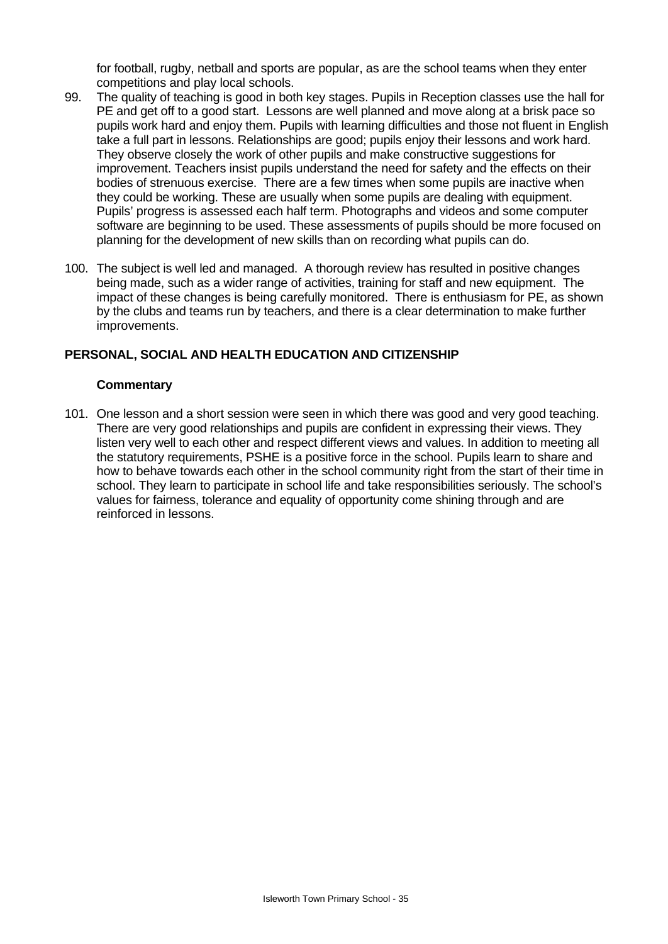for football, rugby, netball and sports are popular, as are the school teams when they enter competitions and play local schools.

- 99. The quality of teaching is good in both key stages. Pupils in Reception classes use the hall for PE and get off to a good start. Lessons are well planned and move along at a brisk pace so pupils work hard and enjoy them. Pupils with learning difficulties and those not fluent in English take a full part in lessons. Relationships are good; pupils enjoy their lessons and work hard. They observe closely the work of other pupils and make constructive suggestions for improvement. Teachers insist pupils understand the need for safety and the effects on their bodies of strenuous exercise. There are a few times when some pupils are inactive when they could be working. These are usually when some pupils are dealing with equipment. Pupils' progress is assessed each half term. Photographs and videos and some computer software are beginning to be used. These assessments of pupils should be more focused on planning for the development of new skills than on recording what pupils can do.
- 100. The subject is well led and managed. A thorough review has resulted in positive changes being made, such as a wider range of activities, training for staff and new equipment. The impact of these changes is being carefully monitored. There is enthusiasm for PE, as shown by the clubs and teams run by teachers, and there is a clear determination to make further improvements.

#### **PERSONAL, SOCIAL AND HEALTH EDUCATION AND CITIZENSHIP**

#### **Commentary**

101. One lesson and a short session were seen in which there was good and very good teaching. There are very good relationships and pupils are confident in expressing their views. They listen very well to each other and respect different views and values. In addition to meeting all the statutory requirements, PSHE is a positive force in the school. Pupils learn to share and how to behave towards each other in the school community right from the start of their time in school. They learn to participate in school life and take responsibilities seriously. The school's values for fairness, tolerance and equality of opportunity come shining through and are reinforced in lessons.